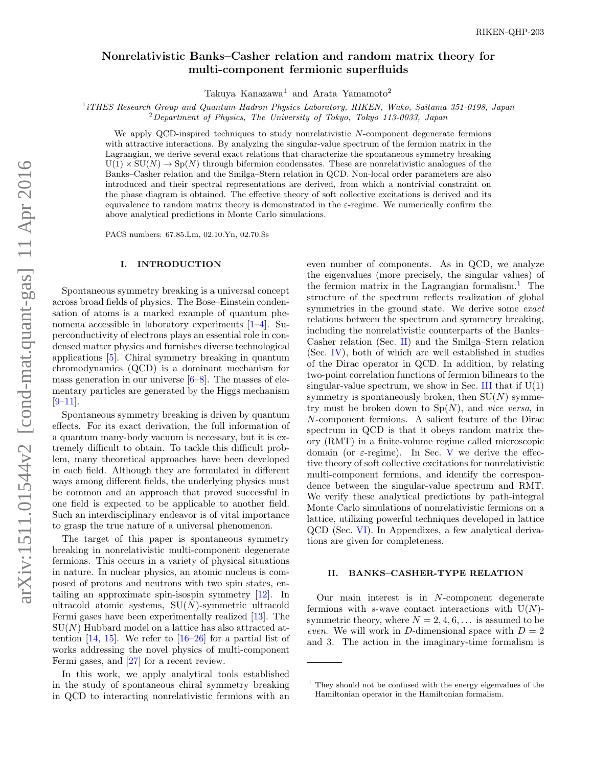# Nonrelativistic Banks–Casher relation and random matrix theory for multi-component fermionic superfluids

Takuya Kanazawa<sup>1</sup> and Arata Yamamoto<sup>2</sup>

<sup>1</sup>iTHES Research Group and Quantum Hadron Physics Laboratory, RIKEN, Wako, Saitama 351-0198, Japan

 $2$ Department of Physics, The University of Tokyo, Tokyo 113-0033, Japan

We apply QCD-inspired techniques to study nonrelativistic N-component degenerate fermions with attractive interactions. By analyzing the singular-value spectrum of the fermion matrix in the Lagrangian, we derive several exact relations that characterize the spontaneous symmetry breaking  $U(1) \times SU(N) \rightarrow Sp(N)$  through bifermion condensates. These are nonrelativistic analogues of the Banks–Casher relation and the Smilga–Stern relation in QCD. Non-local order parameters are also introduced and their spectral representations are derived, from which a nontrivial constraint on the phase diagram is obtained. The effective theory of soft collective excitations is derived and its equivalence to random matrix theory is demonstrated in the  $\varepsilon$ -regime. We numerically confirm the above analytical predictions in Monte Carlo simulations.

PACS numbers: 67.85.Lm, 02.10.Yn, 02.70.Ss

### I. INTRODUCTION

Spontaneous symmetry breaking is a universal concept across broad fields of physics. The Bose–Einstein condensation of atoms is a marked example of quantum phenomena accessible in laboratory experiments [\[1–](#page-11-0)[4\]](#page-11-1). Superconductivity of electrons plays an essential role in condensed matter physics and furnishes diverse technological applications [\[5\]](#page-11-2). Chiral symmetry breaking in quantum chromodynamics (QCD) is a dominant mechanism for mass generation in our universe  $[6-8]$  $[6-8]$ . The masses of elementary particles are generated by the Higgs mechanism  $[9-11]$  $[9-11]$ .

Spontaneous symmetry breaking is driven by quantum effects. For its exact derivation, the full information of a quantum many-body vacuum is necessary, but it is extremely difficult to obtain. To tackle this difficult problem, many theoretical approaches have been developed in each field. Although they are formulated in different ways among different fields, the underlying physics must be common and an approach that proved successful in one field is expected to be applicable to another field. Such an interdisciplinary endeavor is of vital importance to grasp the true nature of a universal phenomenon.

The target of this paper is spontaneous symmetry breaking in nonrelativistic multi-component degenerate fermions. This occurs in a variety of physical situations in nature. In nuclear physics, an atomic nucleus is composed of protons and neutrons with two spin states, entailing an approximate spin-isospin symmetry [\[12\]](#page-11-7). In ultracold atomic systems,  $SU(N)$ -symmetric ultracold Fermi gases have been experimentally realized [\[13\]](#page-11-8). The  $SU(N)$  Hubbard model on a lattice has also attracted attention  $[14, 15]$  $[14, 15]$  $[14, 15]$ . We refer to  $[16–26]$  $[16–26]$  for a partial list of works addressing the novel physics of multi-component Fermi gases, and [\[27\]](#page-11-13) for a recent review.

In this work, we apply analytical tools established in the study of spontaneous chiral symmetry breaking in QCD to interacting nonrelativistic fermions with an even number of components. As in QCD, we analyze the eigenvalues (more precisely, the singular values) of the fermion matrix in the Lagrangian formalism.<sup>[1](#page-0-0)</sup> The structure of the spectrum reflects realization of global symmetries in the ground state. We derive some exact relations between the spectrum and symmetry breaking, including the nonrelativistic counterparts of the Banks– Casher relation (Sec. [II\)](#page-0-1) and the Smilga–Stern relation (Sec. [IV\)](#page-4-0), both of which are well established in studies of the Dirac operator in QCD. In addition, by relating two-point correlation functions of fermion bilinears to the singular-value spectrum, we show in Sec. [III](#page-2-0) that if  $U(1)$ symmetry is spontaneously broken, then  $SU(N)$  symmetry must be broken down to  $Sp(N)$ , and *vice versa*, in N-component fermions. A salient feature of the Dirac spectrum in QCD is that it obeys random matrix theory (RMT) in a finite-volume regime called microscopic domain (or  $\varepsilon$ -regime). In Sec. [V](#page-5-0) we derive the effective theory of soft collective excitations for nonrelativistic multi-component fermions, and identify the correspondence between the singular-value spectrum and RMT. We verify these analytical predictions by path-integral Monte Carlo simulations of nonrelativistic fermions on a lattice, utilizing powerful techniques developed in lattice QCD (Sec. [VI\)](#page-7-0). In Appendixes, a few analytical derivations are given for completeness.

### <span id="page-0-1"></span>II. BANKS–CASHER-TYPE RELATION

Our main interest is in N-component degenerate fermions with s-wave contact interactions with  $U(N)$ symmetric theory, where  $N = 2, 4, 6, \ldots$  is assumed to be even. We will work in D-dimensional space with  $D = 2$ and 3. The action in the imaginary-time formalism is

<span id="page-0-0"></span><sup>&</sup>lt;sup>1</sup> They should not be confused with the energy eigenvalues of the Hamiltonian operator in the Hamiltonian formalism.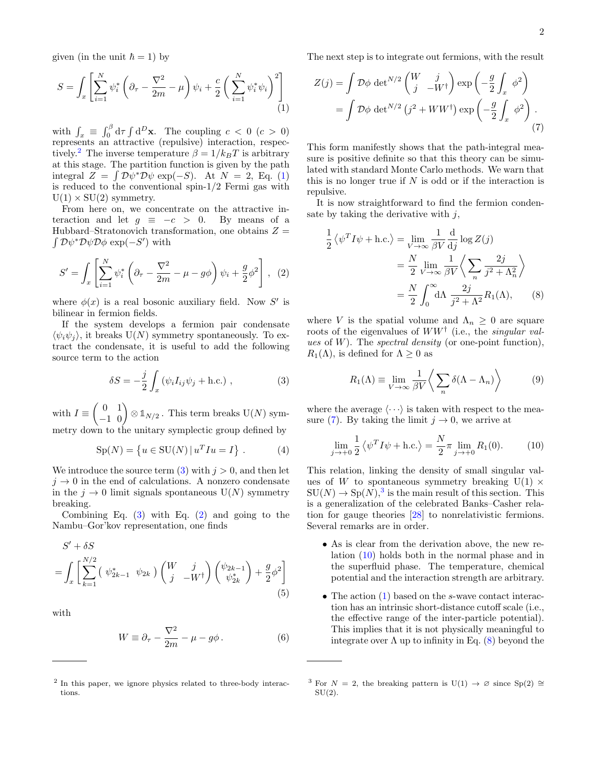given (in the unit  $\hbar = 1$ ) by

$$
S = \int_{x} \left[ \sum_{i=1}^{N} \psi_{i}^{*} \left( \partial_{\tau} - \frac{\nabla^{2}}{2m} - \mu \right) \psi_{i} + \frac{c}{2} \left( \sum_{i=1}^{N} \psi_{i}^{*} \psi_{i} \right)^{2} \right] \tag{1}
$$

with  $\int_x \equiv \int_0^\beta d\tau \int d^D \mathbf{x}$ . The coupling  $c < 0$   $(c > 0)$ represents an attractive (repulsive) interaction, respec-tively.<sup>[2](#page-1-0)</sup> The inverse temperature  $\beta = 1/k_BT$  is arbitrary at this stage. The partition function is given by the path integral  $Z = \int \mathcal{D}\psi^* \mathcal{D}\psi \exp(-S)$ . At  $N = 2$ , Eq. [\(1\)](#page-1-1) is reduced to the conventional spin-1/2 Fermi gas with  $U(1) \times SU(2)$  symmetry.

From here on, we concentrate on the attractive interaction and let  $g \equiv -c > 0$ . By means of a Hubbard–Stratonovich transformation, one obtains  $Z =$  $\int \mathcal{D}\psi^* \mathcal{D}\psi \mathcal{D}\phi \exp(-S')$  with

$$
S' = \int_x \left[ \sum_{i=1}^N \psi_i^* \left( \partial_\tau - \frac{\nabla^2}{2m} - \mu - g\phi \right) \psi_i + \frac{g}{2} \phi^2 \right], \tag{2}
$$

where  $\phi(x)$  is a real bosonic auxiliary field. Now S' is bilinear in fermion fields.

If the system develops a fermion pair condensate  $\langle \psi_i \psi_j \rangle$ , it breaks U(N) symmetry spontaneously. To extract the condensate, it is useful to add the following source term to the action

$$
\delta S = -\frac{j}{2} \int_x \left( \psi_i I_{ij} \psi_j + \text{h.c.} \right), \tag{3}
$$

with  $I \equiv \begin{pmatrix} 0 & 1 \\ -1 & 0 \end{pmatrix} \otimes \mathbb{1}_{N/2}$ . This term breaks  $U(N)$  symmetry down to the unitary symplectic group defined by

$$
Sp(N) = \{ u \in SU(N) | uT I u = I \} .
$$
 (4)

We introduce the source term  $(3)$  with  $j > 0$ , and then let  $j \to 0$  in the end of calculations. A nonzero condensate in the  $j \to 0$  limit signals spontaneous  $U(N)$  symmetry breaking.

Combining Eq.  $(3)$  with Eq.  $(2)$  and going to the Nambu–Gor'kov representation, one finds

$$
S' + \delta S
$$
  
=  $\int_{x} \left[ \sum_{k=1}^{N/2} \left( \psi_{2k-1}^{*} \ \psi_{2k} \right) \begin{pmatrix} W & j \\ j & -W^{\dagger} \end{pmatrix} \begin{pmatrix} \psi_{2k-1} \\ \psi_{2k}^{*} \end{pmatrix} + \frac{g}{2} \phi^{2} \right]$  (5)

with

$$
W \equiv \partial_{\tau} - \frac{\nabla^2}{2m} - \mu - g\phi. \tag{6}
$$

The next step is to integrate out fermions, with the result

<span id="page-1-4"></span><span id="page-1-1"></span>
$$
Z(j) = \int \mathcal{D}\phi \, \det^{N/2} \begin{pmatrix} W & j \\ j & -W^{\dagger} \end{pmatrix} \exp\left(-\frac{g}{2} \int_{x} \phi^{2}\right)
$$

$$
= \int \mathcal{D}\phi \, \det^{N/2} \left(j^{2} + WW^{\dagger}\right) \exp\left(-\frac{g}{2} \int_{x} \phi^{2}\right).
$$
(7)

This form manifestly shows that the path-integral measure is positive definite so that this theory can be simulated with standard Monte Carlo methods. We warn that this is no longer true if  $N$  is odd or if the interaction is repulsive.

It is now straightforward to find the fermion condensate by taking the derivative with  $i$ ,

<span id="page-1-3"></span>
$$
\frac{1}{2} \langle \psi^T I \psi + \text{h.c.} \rangle = \lim_{V \to \infty} \frac{1}{\beta V} \frac{d}{dj} \log Z(j)
$$

$$
= \frac{N}{2} \lim_{V \to \infty} \frac{1}{\beta V} \langle \sum_n \frac{2j}{j^2 + \Lambda_n^2} \rangle
$$

$$
= \frac{N}{2} \int_0^\infty d\Lambda \frac{2j}{j^2 + \Lambda^2} R_1(\Lambda), \qquad (8)
$$

where V is the spatial volume and  $\Lambda_n \geq 0$  are square roots of the eigenvalues of  $WW^{\dagger}$  (i.e., the *singular val*ues of  $W$ ). The spectral density (or one-point function),  $R_1(\Lambda)$ , is defined for  $\Lambda \geq 0$  as

<span id="page-1-8"></span><span id="page-1-7"></span><span id="page-1-6"></span>
$$
R_1(\Lambda) \equiv \lim_{V \to \infty} \frac{1}{\beta V} \left\langle \sum_n \delta(\Lambda - \Lambda_n) \right\rangle \tag{9}
$$

<span id="page-1-2"></span>where the average  $\langle \cdots \rangle$  is taken with respect to the mea-sure [\(7\)](#page-1-4). By taking the limit  $j \to 0$ , we arrive at

$$
\lim_{j \to +0} \frac{1}{2} \langle \psi^T I \psi + \text{h.c.} \rangle = \frac{N}{2} \pi \lim_{j \to +0} R_1(0). \tag{10}
$$

This relation, linking the density of small singular values of W to spontaneous symmetry breaking  $U(1) \times$  $SU(N) \to Sp(N)$ ,<sup>[3](#page-1-5)</sup> is the main result of this section. This is a generalization of the celebrated Banks–Casher relation for gauge theories [\[28\]](#page-11-14) to nonrelativistic fermions. Several remarks are in order.

- As is clear from the derivation above, the new relation [\(10\)](#page-1-6) holds both in the normal phase and in the superfluid phase. The temperature, chemical potential and the interaction strength are arbitrary.
- <span id="page-1-9"></span>• The action  $(1)$  based on the s-wave contact interaction has an intrinsic short-distance cutoff scale (i.e., the effective range of the inter-particle potential). This implies that it is not physically meaningful to integrate over  $\Lambda$  up to infinity in Eq. [\(8\)](#page-1-7) beyond the

<span id="page-1-0"></span><sup>2</sup> In this paper, we ignore physics related to three-body interactions.

<span id="page-1-5"></span><sup>&</sup>lt;sup>3</sup> For  $N = 2$ , the breaking pattern is U(1)  $\rightarrow \emptyset$  since Sp(2) ≅  $SU(2)$ .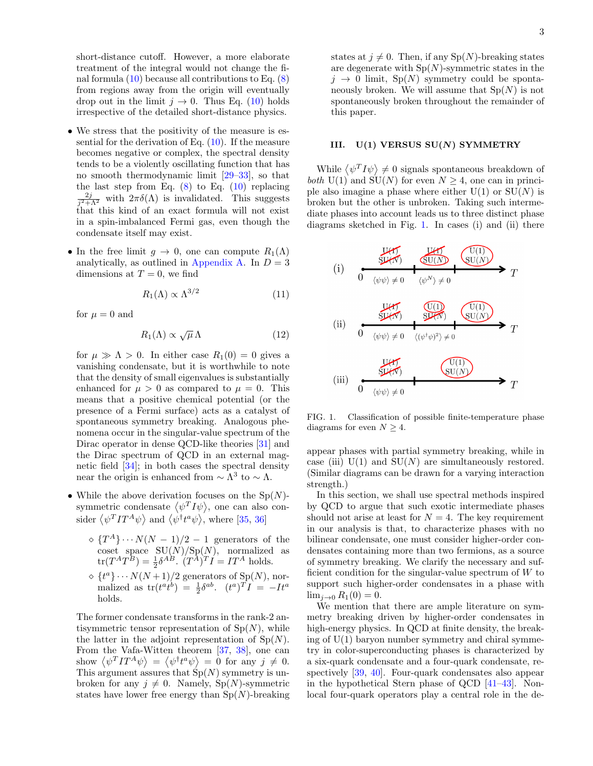short-distance cutoff. However, a more elaborate treatment of the integral would not change the final formula [\(10\)](#page-1-6) because all contributions to Eq. [\(8\)](#page-1-7) from regions away from the origin will eventually drop out in the limit  $j \to 0$ . Thus Eq. [\(10\)](#page-1-6) holds irrespective of the detailed short-distance physics.

- We stress that the positivity of the measure is essential for the derivation of Eq.  $(10)$ . If the measure becomes negative or complex, the spectral density tends to be a violently oscillating function that has no smooth thermodynamic limit [\[29–](#page-11-15)[33\]](#page-12-0), so that the last step from Eq.  $(8)$  to Eq.  $(10)$  replacing  $\frac{2j}{j^2+\Lambda^2}$  with  $2\pi\delta(\Lambda)$  is invalidated. This suggests that this kind of an exact formula will not exist in a spin-imbalanced Fermi gas, even though the condensate itself may exist.
- In the free limit  $g \to 0$ , one can compute  $R_1(\Lambda)$ analytically, as outlined in [Appendix A.](#page-9-0) In  $D = 3$ dimensions at  $T = 0$ , we find

$$
R_1(\Lambda) \propto \Lambda^{3/2} \tag{11}
$$

for  $\mu = 0$  and

$$
R_1(\Lambda) \propto \sqrt{\mu} \Lambda \tag{12}
$$

for  $\mu \gg \Lambda > 0$ . In either case  $R_1(0) = 0$  gives a vanishing condensate, but it is worthwhile to note that the density of small eigenvalues is substantially enhanced for  $\mu > 0$  as compared to  $\mu = 0$ . This means that a positive chemical potential (or the presence of a Fermi surface) acts as a catalyst of spontaneous symmetry breaking. Analogous phenomena occur in the singular-value spectrum of the Dirac operator in dense QCD-like theories [\[31\]](#page-11-16) and the Dirac spectrum of QCD in an external magnetic field  $[34]$ ; in both cases the spectral density near the origin is enhanced from  $\sim \Lambda^3$  to  $\sim \Lambda$ .

- While the above derivation focuses on the  $Sp(N)$ symmetric condensate  $\langle \psi^T I \psi \rangle$ , one can also consider  $\langle \psi^T I T^A \psi \rangle$  and  $\langle \psi^{\dagger} t^a \psi \rangle$ , where [\[35,](#page-12-2) [36\]](#page-12-3)
	- $\Diamond \{T_A^A\} \cdots N(N-1)/2-1$  generators of the coset space  $SU(N)/Sp(N)$ , normalized as  $tr(T^AT^B) = \frac{1}{2} \delta^{AB}$ .  $(T^A)^T I = IT^A$  holds.
	- $\Diamond \{t^a\} \cdots N(N+1)/2$  generators of Sp(N), normalized as  $tr(t^a t^b) = \frac{1}{2} \delta^{ab}$ .  $(t^a)^T I = -It^a$ holds.

The former condensate transforms in the rank-2 antisymmetric tensor representation of  $Sp(N)$ , while the latter in the adjoint representation of  $Sp(N)$ . From the Vafa-Witten theorem [\[37,](#page-12-4) [38\]](#page-12-5), one can show  $\langle \psi^T I T^A \psi \rangle = \langle \psi^{\dagger} t^a \psi \rangle = 0$  for any  $j \neq 0$ . This argument assures that  $Sp(N)$  symmetry is unbroken for any  $j \neq 0$ . Namely, Sp(N)-symmetric states have lower free energy than  $Sp(N)$ -breaking states at  $j \neq 0$ . Then, if any Sp(N)-breaking states are degenerate with  $Sp(N)$ -symmetric states in the  $j \rightarrow 0$  limit, Sp(N) symmetry could be spontaneously broken. We will assume that  $Sp(N)$  is not spontaneously broken throughout the remainder of this paper.

# <span id="page-2-0"></span>III.  $U(1)$  VERSUS SU $(N)$  SYMMETRY

While  $\langle \psi^T I \psi \rangle \neq 0$  signals spontaneous breakdown of both U(1) and SU(N) for even  $N \geq 4$ , one can in principle also imagine a phase where either  $U(1)$  or  $SU(N)$  is broken but the other is unbroken. Taking such intermediate phases into account leads us to three distinct phase diagrams sketched in Fig. [1.](#page-2-1) In cases (i) and (ii) there



<span id="page-2-1"></span>FIG. 1. Classification of possible finite-temperature phase diagrams for even  $N \geq 4$ .

appear phases with partial symmetry breaking, while in case (iii)  $U(1)$  and  $SU(N)$  are simultaneously restored. (Similar diagrams can be drawn for a varying interaction strength.)

In this section, we shall use spectral methods inspired by QCD to argue that such exotic intermediate phases should not arise at least for  $N = 4$ . The key requirement in our analysis is that, to characterize phases with no bilinear condensate, one must consider higher-order condensates containing more than two fermions, as a source of symmetry breaking. We clarify the necessary and sufficient condition for the singular-value spectrum of  $W$  to support such higher-order condensates in a phase with  $\lim_{j\to 0} R_1(0) = 0.$ 

We mention that there are ample literature on symmetry breaking driven by higher-order condensates in high-energy physics. In QCD at finite density, the breaking of  $U(1)$  baryon number symmetry and chiral symmetry in color-superconducting phases is characterized by a six-quark condensate and a four-quark condensate, respectively [\[39,](#page-12-6) [40\]](#page-12-7). Four-quark condensates also appear in the hypothetical Stern phase of QCD [\[41](#page-12-8)[–43\]](#page-12-9). Nonlocal four-quark operators play a central role in the de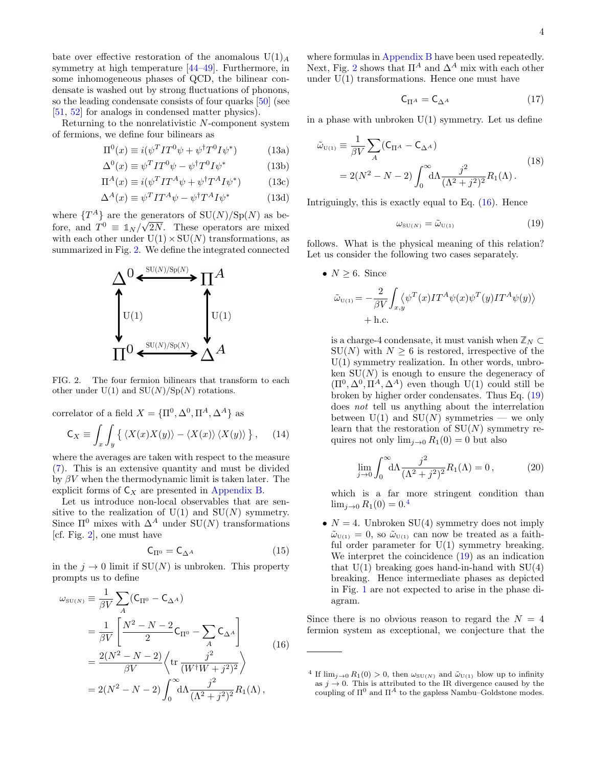bate over effective restoration of the anomalous  $U(1)<sub>A</sub>$ symmetry at high temperature [\[44–](#page-12-10)[49\]](#page-12-11). Furthermore, in some inhomogeneous phases of QCD, the bilinear condensate is washed out by strong fluctuations of phonons, so the leading condensate consists of four quarks [\[50\]](#page-12-12) (see [\[51,](#page-12-13) [52\]](#page-12-14) for analogs in condensed matter physics).

Returning to the nonrelativistic N-component system of fermions, we define four bilinears as

$$
\Pi^{0}(x) \equiv i(\psi^{T}IT^{0}\psi + \psi^{\dagger}T^{0}I\psi^{*})
$$
 (13a)

$$
\Delta^{0}(x) \equiv \psi^{T} I T^{0} \psi - \psi^{\dagger} T^{0} I \psi^{*}
$$
 (13b)

$$
\Pi^{A}(x) \equiv i(\psi^{T} I T^{A} \psi + \psi^{\dagger} T^{A} I \psi^{*})
$$
 (13c)

$$
\Delta^{A}(x) \equiv \psi^{T} I T^{A} \psi - \psi^{\dagger} T^{A} I \psi^{*}
$$
 (13d)

where  $\{T^{A}\}$  are the generators of  $\text{SU}(N)/\text{Sp}(N)$  as before, and  $T^0 \equiv \frac{1}{N} / \sqrt{2N}$ . These operators are mixed with each other under  $U(1) \times SU(N)$  transformations, as summarized in Fig. [2.](#page-3-0) We define the integrated connected



<span id="page-3-0"></span>FIG. 2. The four fermion bilinears that transform to each other under  $U(1)$  and  $SU(N)/Sp(N)$  rotations.

correlator of a field  $X = {\Pi^0, \Delta^0, \Pi^A, \Delta^A}$  as

$$
\mathsf{C}_X \equiv \int_x \int_y \left\{ \left\langle X(x)X(y) \right\rangle - \left\langle X(x) \right\rangle \left\langle X(y) \right\rangle \right\}, \quad (14)
$$

where the averages are taken with respect to the measure [\(7\)](#page-1-4). This is an extensive quantity and must be divided by  $\beta V$  when the thermodynamic limit is taken later. The explicit forms of  $C_X$  are presented in [Appendix B.](#page-10-0)

Let us introduce non-local observables that are sensitive to the realization of  $U(1)$  and  $SU(N)$  symmetry. Since  $\Pi^0$  mixes with  $\Delta^A$  under SU(N) transformations [cf. Fig. [2\]](#page-3-0), one must have

$$
\mathsf{C}_{\Pi^0} = \mathsf{C}_{\Delta^A} \tag{15}
$$

in the  $j \to 0$  limit if  $SU(N)$  is unbroken. This property prompts us to define

$$
\omega_{\text{SU}(N)} \equiv \frac{1}{\beta V} \sum_{A} (\mathsf{C}_{\Pi^0} - \mathsf{C}_{\Delta^A})
$$
  
=  $\frac{1}{\beta V} \left[ \frac{N^2 - N - 2}{2} \mathsf{C}_{\Pi^0} - \sum_{A} \mathsf{C}_{\Delta^A} \right]$   
=  $\frac{2(N^2 - N - 2)}{\beta V} \left\langle \text{tr} \frac{j^2}{(W^{\dagger} W + j^2)^2} \right\rangle$   
=  $2(N^2 - N - 2) \int_0^{\infty} d\Lambda \frac{j^2}{(\Lambda^2 + j^2)^2} R_1(\Lambda),$  (16)

where formulas in [Appendix B](#page-10-0) have been used repeatedly. Next, Fig. [2](#page-3-0) shows that  $\Pi^A$  and  $\Delta^A$  mix with each other under  $U(1)$  transformations. Hence one must have

$$
C_{\Pi^A} = C_{\Delta^A} \tag{17}
$$

in a phase with unbroken  $U(1)$  symmetry. Let us define

$$
\tilde{\omega}_{U(1)} \equiv \frac{1}{\beta V} \sum_{A} (C_{\Pi^A} - C_{\Delta^A})
$$
\n
$$
= 2(N^2 - N - 2) \int_0^\infty d\Lambda \frac{j^2}{(\Lambda^2 + j^2)^2} R_1(\Lambda).
$$
\n(18)

<span id="page-3-5"></span>Intriguingly, this is exactly equal to Eq. [\(16\)](#page-3-1). Hence

<span id="page-3-2"></span>
$$
\omega_{\text{SU}(N)} = \tilde{\omega}_{\text{U}(1)} \tag{19}
$$

follows. What is the physical meaning of this relation? Let us consider the following two cases separately.

•  $N \geq 6$ . Since ω˜U(1) = − 2 βV Z x,y  $\langle \psi^T(x)IT^A\psi(x)\psi^T(y)IT^A\psi(y)\rangle$  $+$  h.c.

is a charge-4 condensate, it must vanish when  $\mathbb{Z}_N \subset$  $SU(N)$  with  $N \geq 6$  is restored, irrespective of the  $U(1)$  symmetry realization. In other words, unbroken  $SU(N)$  is enough to ensure the degeneracy of  $(\Pi^0, \Delta^0, \Pi^A, \Delta^A)$  even though U(1) could still be broken by higher order condensates. Thus Eq. [\(19\)](#page-3-2) does not tell us anything about the interrelation between  $U(1)$  and  $SU(N)$  symmetries — we only learn that the restoration of  $SU(N)$  symmetry requires not only  $\lim_{i\to 0} R_1(0) = 0$  but also

$$
\lim_{j \to 0} \int_0^\infty d\Lambda \frac{j^2}{(\Lambda^2 + j^2)^2} R_1(\Lambda) = 0, \tag{20}
$$

<span id="page-3-4"></span>which is a far more stringent condition than  $\lim_{j\to 0} R_1(0) = 0.4$  $\lim_{j\to 0} R_1(0) = 0.4$ 

•  $N = 4$ . Unbroken SU(4) symmetry does not imply  $\tilde{\omega}_{U(1)} = 0$ , so  $\tilde{\omega}_{U(1)}$  can now be treated as a faithful order parameter for  $U(1)$  symmetry breaking. We interpret the coincidence  $(19)$  as an indication that  $U(1)$  breaking goes hand-in-hand with  $SU(4)$ breaking. Hence intermediate phases as depicted in Fig. [1](#page-2-1) are not expected to arise in the phase diagram.

<span id="page-3-1"></span>Since there is no obvious reason to regard the  $N = 4$ fermion system as exceptional, we conjecture that the

<span id="page-3-3"></span><sup>&</sup>lt;sup>4</sup> If  $\lim_{j\to 0} R_1(0) > 0$ , then  $\omega_{\text{SU}(N)}$  and  $\tilde{\omega}_{\text{U}(1)}$  blow up to infinity as  $j \to 0$ . This is attributed to the IR divergence caused by the coupling of  $\Pi^0$  and  $\Pi^A$  to the gapless Nambu–Goldstone modes.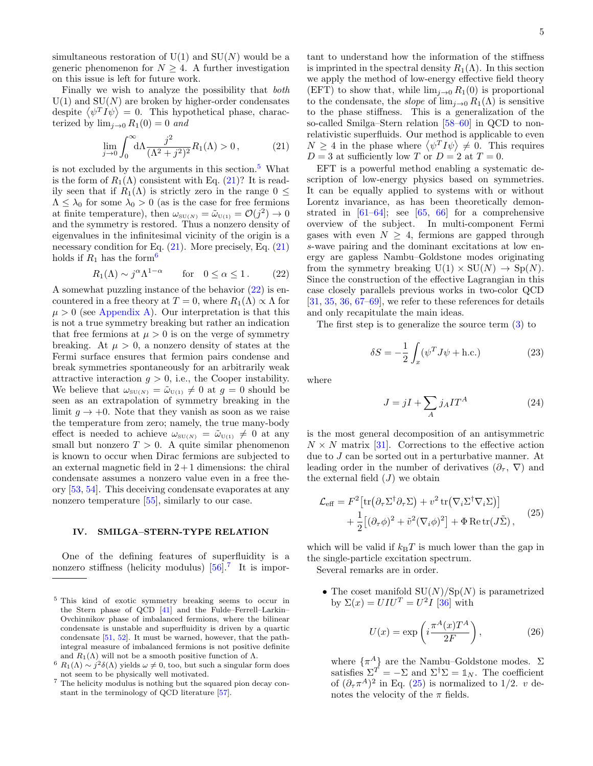simultaneous restoration of  $U(1)$  and  $SU(N)$  would be a generic phenomenon for  $N \geq 4$ . A further investigation on this issue is left for future work.

Finally we wish to analyze the possibility that both  $U(1)$  and  $SU(N)$  are broken by higher-order condensates despite  $\langle \psi^T I \psi \rangle = 0$ . This hypothetical phase, characterized by  $\lim_{i\to 0} R_1(0) = 0$  and

$$
\lim_{j \to 0} \int_0^\infty d\Lambda \frac{j^2}{(\Lambda^2 + j^2)^2} R_1(\Lambda) > 0, \tag{21}
$$

is not excluded by the arguments in this section. $5$  What is the form of  $R_1(\Lambda)$  consistent with Eq. [\(21\)](#page-4-2)? It is readily seen that if  $R_1(\Lambda)$  is strictly zero in the range  $0 \leq$  $\Lambda \leq \lambda_0$  for some  $\lambda_0 > 0$  (as is the case for free fermions at finite temperature), then  $\omega_{\text{SU}(N)} = \tilde{\omega}_{\text{U}(1)} = \mathcal{O}(j^2) \rightarrow 0$ and the symmetry is restored. Thus a nonzero density of eigenvalues in the infinitesimal vicinity of the origin is a necessary condition for Eq.  $(21)$ . More precisely, Eq.  $(21)$ holds if  $R_1$  has the form<sup>[6](#page-4-3)</sup>

$$
R_1(\Lambda) \sim j^{\alpha} \Lambda^{1-\alpha} \qquad \text{for} \quad 0 \le \alpha \le 1. \tag{22}
$$

A somewhat puzzling instance of the behavior [\(22\)](#page-4-4) is encountered in a free theory at  $T = 0$ , where  $R_1(\Lambda) \propto \Lambda$  for  $\mu > 0$  (see [Appendix A\)](#page-9-0). Our interpretation is that this is not a true symmetry breaking but rather an indication that free fermions at  $\mu > 0$  is on the verge of symmetry breaking. At  $\mu > 0$ , a nonzero density of states at the Fermi surface ensures that fermion pairs condense and break symmetries spontaneously for an arbitrarily weak attractive interaction  $g > 0$ , i.e., the Cooper instability. We believe that  $\omega_{\text{SU}(N)} = \tilde{\omega}_{\text{U}(1)} \neq 0$  at  $g = 0$  should be seen as an extrapolation of symmetry breaking in the limit  $q \to +0$ . Note that they vanish as soon as we raise the temperature from zero; namely, the true many-body effect is needed to achieve  $\omega_{\text{SU}(N)} = \tilde{\omega}_{\text{U}(1)} \neq 0$  at any small but nonzero  $T > 0$ . A quite similar phenomenon is known to occur when Dirac fermions are subjected to an external magnetic field in  $2+1$  dimensions: the chiral condensate assumes a nonzero value even in a free theory [\[53,](#page-12-15) [54\]](#page-12-16). This deceiving condensate evaporates at any nonzero temperature [\[55\]](#page-12-17), similarly to our case.

## <span id="page-4-0"></span>IV. SMILGA–STERN-TYPE RELATION

One of the defining features of superfluidity is a nonzero stiffness (helicity modulus)  $[56]$ <sup>[7](#page-4-5)</sup>. It is impor-

tant to understand how the information of the stiffness is imprinted in the spectral density  $R_1(\Lambda)$ . In this section we apply the method of low-energy effective field theory (EFT) to show that, while  $\lim_{j\to 0} R_1(0)$  is proportional to the condensate, the *slope* of  $\lim_{i\to 0} R_1(\Lambda)$  is sensitive to the phase stiffness. This is a generalization of the so-called Smilga–Stern relation [\[58–](#page-12-20)[60\]](#page-12-21) in QCD to nonrelativistic superfluids. Our method is applicable to even  $N \geq 4$  in the phase where  $\langle \psi^T I \psi \rangle \neq 0$ . This requires  $D = 3$  at sufficiently low T or  $D = 2$  at  $T = 0$ .

<span id="page-4-2"></span>EFT is a powerful method enabling a systematic description of low-energy physics based on symmetries. It can be equally applied to systems with or without Lorentz invariance, as has been theoretically demonstrated in  $[61-64]$  $[61-64]$ ; see  $[65, 66]$  $[65, 66]$  $[65, 66]$  for a comprehensive overview of the subject. In multi-component Fermi gases with even  $N \geq 4$ , fermions are gapped through s-wave pairing and the dominant excitations at low energy are gapless Nambu–Goldstone modes originating from the symmetry breaking  $U(1) \times SU(N) \rightarrow Sp(N)$ . Since the construction of the effective Lagrangian in this case closely parallels previous works in two-color QCD  $[31, 35, 36, 67-69]$  $[31, 35, 36, 67-69]$  $[31, 35, 36, 67-69]$  $[31, 35, 36, 67-69]$  $[31, 35, 36, 67-69]$  $[31, 35, 36, 67-69]$  $[31, 35, 36, 67-69]$ , we refer to these references for details and only recapitulate the main ideas.

<span id="page-4-4"></span>The first step is to generalize the source term [\(3\)](#page-1-2) to

$$
\delta S = -\frac{1}{2} \int_{x} (\psi^T J \psi + \text{h.c.}) \tag{23}
$$

where

<span id="page-4-7"></span><span id="page-4-6"></span>
$$
J = jI + \sum_{A} j_A I T^A \tag{24}
$$

is the most general decomposition of an antisymmetric  $N \times N$  matrix [\[31\]](#page-11-16). Corrections to the effective action due to J can be sorted out in a perturbative manner. At leading order in the number of derivatives  $(\partial_\tau, \nabla)$  and the external field  $(J)$  we obtain

$$
\mathcal{L}_{\text{eff}} = F^2 \left[ \text{tr} \left( \partial_\tau \Sigma^\dagger \partial_\tau \Sigma \right) + v^2 \, \text{tr} \left( \nabla_i \Sigma^\dagger \nabla_i \Sigma \right) \right] \n+ \frac{1}{2} \left[ (\partial_\tau \phi)^2 + \tilde{v}^2 (\nabla_i \phi)^2 \right] + \Phi \, \text{Re} \, \text{tr} (J \tilde{\Sigma}),
$$
\n(25)

which will be valid if  $k_BT$  is much lower than the gap in the single-particle excitation spectrum.

Several remarks are in order.

• The coset manifold  $SU(N)/Sp(N)$  is parametrized by  $\Sigma(x) = U I U^{T} = U^{2} I$  [\[36\]](#page-12-3) with

$$
U(x) = \exp\left(i\frac{\pi^A(x)T^A}{2F}\right),\tag{26}
$$

where  $\{\pi^A\}$  are the Nambu–Goldstone modes.  $\Sigma$ satisfies  $\Sigma^T = -\Sigma$  and  $\Sigma^{\dagger} \Sigma = \mathbb{1}_N$ . The coefficient of  $(\partial_{\tau}\pi^{A})^{2}$  in Eq. [\(25\)](#page-4-6) is normalized to 1/2. v denotes the velocity of the  $\pi$  fields.

<span id="page-4-1"></span><sup>5</sup> This kind of exotic symmetry breaking seems to occur in the Stern phase of QCD [\[41\]](#page-12-8) and the Fulde–Ferrell–Larkin– Ovchinnikov phase of imbalanced fermions, where the bilinear condensate is unstable and superfluidity is driven by a quartic condensate [\[51,](#page-12-13) [52\]](#page-12-14). It must be warned, however, that the pathintegral measure of imbalanced fermions is not positive definite and  $R_1(\Lambda)$  will not be a smooth positive function of  $\Lambda$ .

<span id="page-4-3"></span><sup>&</sup>lt;sup>6</sup>  $R_1(\Lambda) \sim j^2 \delta(\Lambda)$  yields  $\omega \neq 0$ , too, but such a singular form does not seem to be physically well motivated.

<span id="page-4-5"></span> $^7$  The helicity modulus is nothing but the squared pion decay con-  $\,$ stant in the terminology of QCD literature [\[57\]](#page-12-19).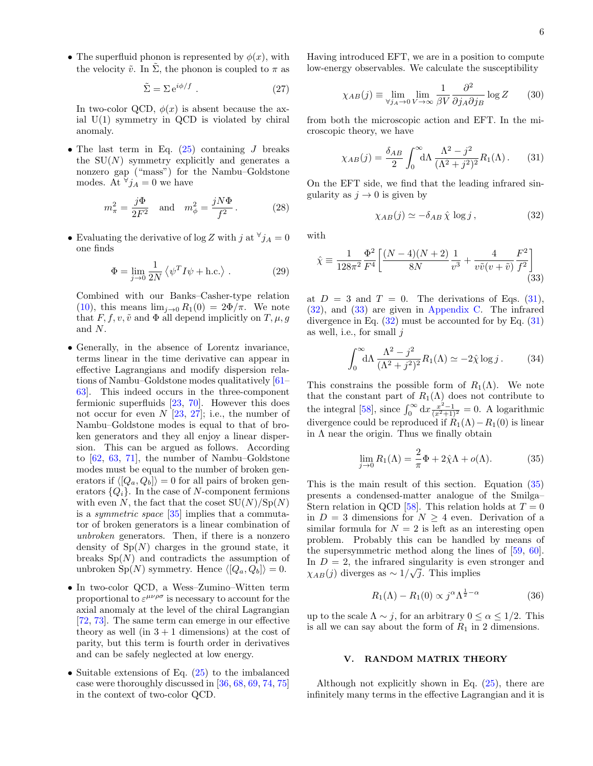• The superfluid phonon is represented by  $\phi(x)$ , with the velocity  $\tilde{v}$ . In  $\tilde{\Sigma}$ , the phonon is coupled to  $\pi$  as

$$
\tilde{\Sigma} = \Sigma \,\mathrm{e}^{i\phi/f} \tag{27}
$$

In two-color QCD,  $\phi(x)$  is absent because the axial  $U(1)$  symmetry in QCD is violated by chiral anomaly.

• The last term in Eq.  $(25)$  containing J breaks the  $SU(N)$  symmetry explicitly and generates a nonzero gap ("mass") for the Nambu–Goldstone modes. At  $\forall j_A = 0$  we have

$$
m_{\pi}^2 = \frac{j\Phi}{2F^2} \quad \text{and} \quad m_{\phi}^2 = \frac{jN\Phi}{f^2} \,. \tag{28}
$$

• Evaluating the derivative of  $\log Z$  with j at  $\forall j_A = 0$ one finds

$$
\Phi = \lim_{j \to 0} \frac{1}{2N} \left\langle \psi^T I \psi + \text{h.c.} \right\rangle. \tag{29}
$$

Combined with our Banks–Casher-type relation [\(10\)](#page-1-6), this means  $\lim_{i\to 0} R_1(0) = 2\Phi/\pi$ . We note that  $F, f, v, \tilde{v}$  and  $\Phi$  all depend implicitly on  $T, \mu, g$ and N.

- Generally, in the absence of Lorentz invariance, terms linear in the time derivative can appear in effective Lagrangians and modify dispersion relations of Nambu–Goldstone modes qualitatively [\[61–](#page-12-22) [63\]](#page-12-28). This indeed occurs in the three-component fermionic superfluids [\[23,](#page-11-17) [70\]](#page-12-29). However this does not occur for even  $N$  [\[23,](#page-11-17) [27\]](#page-11-13); i.e., the number of Nambu–Goldstone modes is equal to that of broken generators and they all enjoy a linear dispersion. This can be argued as follows. According to [\[62,](#page-12-30) [63,](#page-12-28) [71\]](#page-12-31), the number of Nambu–Goldstone modes must be equal to the number of broken generators if  $\langle [Q_a, Q_b] \rangle = 0$  for all pairs of broken generators  $\{Q_i\}$ . In the case of N-component fermions with even N, the fact that the coset  $SU(N)/Sp(N)$ is a symmetric space [\[35\]](#page-12-2) implies that a commutator of broken generators is a linear combination of unbroken generators. Then, if there is a nonzero density of  $Sp(N)$  charges in the ground state, it breaks  $Sp(N)$  and contradicts the assumption of unbroken Sp $(N)$  symmetry. Hence  $\langle [Q_a, Q_b] \rangle = 0$ .
- In two-color QCD, a Wess–Zumino–Witten term proportional to  $\varepsilon^{\mu\nu\rho\sigma}$  is necessary to account for the axial anomaly at the level of the chiral Lagrangian [\[72,](#page-12-32) [73\]](#page-12-33). The same term can emerge in our effective theory as well (in  $3 + 1$  dimensions) at the cost of parity, but this term is fourth order in derivatives and can be safely neglected at low energy.
- Suitable extensions of Eq. [\(25\)](#page-4-6) to the imbalanced case were thoroughly discussed in [\[36,](#page-12-3) [68,](#page-12-34) [69,](#page-12-27) [74,](#page-12-35) [75\]](#page-12-36) in the context of two-color QCD.

Having introduced EFT, we are in a position to compute low-energy observables. We calculate the susceptibility

$$
\chi_{AB}(j) \equiv \lim_{\forall j_A \to 0} \lim_{V \to \infty} \frac{1}{\beta V} \frac{\partial^2}{\partial j_A \partial j_B} \log Z \qquad (30)
$$

from both the microscopic action and EFT. In the microscopic theory, we have

$$
\chi_{AB}(j) = \frac{\delta_{AB}}{2} \int_0^\infty d\Lambda \, \frac{\Lambda^2 - j^2}{(\Lambda^2 + j^2)^2} R_1(\Lambda). \tag{31}
$$

On the EFT side, we find that the leading infrared singularity as  $j \to 0$  is given by

<span id="page-5-3"></span><span id="page-5-2"></span><span id="page-5-1"></span>
$$
\chi_{AB}(j) \simeq -\delta_{AB} \,\hat{\chi} \, \log j \,, \tag{32}
$$

with

$$
\hat{\chi} \equiv \frac{1}{128\pi^2} \frac{\Phi^2}{F^4} \left[ \frac{(N-4)(N+2)}{8N} \frac{1}{v^3} + \frac{4}{v\tilde{v}(v+\tilde{v})} \frac{F^2}{f^2} \right] \tag{33}
$$

at  $D = 3$  and  $T = 0$ . The derivations of Eqs. [\(31\)](#page-5-1), [\(32\)](#page-5-2), and [\(33\)](#page-5-3) are given in [Appendix C.](#page-10-1) The infrared divergence in Eq.  $(32)$  must be accounted for by Eq.  $(31)$ as well, i.e., for small  $j$ 

$$
\int_0^\infty d\Lambda \frac{\Lambda^2 - j^2}{(\Lambda^2 + j^2)^2} R_1(\Lambda) \simeq -2\hat{\chi} \log j.
$$
 (34)

This constrains the possible form of  $R_1(\Lambda)$ . We note that the constant part of  $R_1(\Lambda)$  does not contribute to the integral [\[58\]](#page-12-20), since  $\int_0^\infty dx \frac{x^2-1}{(x^2+1)^2} = 0$ . A logarithmic divergence could be reproduced if  $R_1(\Lambda) - R_1(0)$  is linear in  $\Lambda$  near the origin. Thus we finally obtain

<span id="page-5-4"></span>
$$
\lim_{j \to 0} R_1(\Lambda) = \frac{2}{\pi} \Phi + 2\hat{\chi}\Lambda + o(\Lambda). \tag{35}
$$

This is the main result of this section. Equation [\(35\)](#page-5-4) presents a condensed-matter analogue of the Smilga– Stern relation in QCD [\[58\]](#page-12-20). This relation holds at  $T = 0$ in  $D = 3$  dimensions for  $N > 4$  even. Derivation of a similar formula for  $N = 2$  is left as an interesting open problem. Probably this can be handled by means of the supersymmetric method along the lines of [\[59,](#page-12-37) [60\]](#page-12-21). In  $D = 2$ , the infrared singularity is even stronger and  $\chi_{AB}(j)$  diverges as  $\sim 1/\sqrt{j}$ . This implies

$$
R_1(\Lambda) - R_1(0) \propto j^{\alpha} \Lambda^{\frac{1}{2} - \alpha} \tag{36}
$$

up to the scale  $\Lambda \sim j$ , for an arbitrary  $0 \leq \alpha \leq 1/2$ . This is all we can say about the form of  $R_1$  in 2 dimensions.

### <span id="page-5-0"></span>V. RANDOM MATRIX THEORY

Although not explicitly shown in Eq. [\(25\)](#page-4-6), there are infinitely many terms in the effective Lagrangian and it is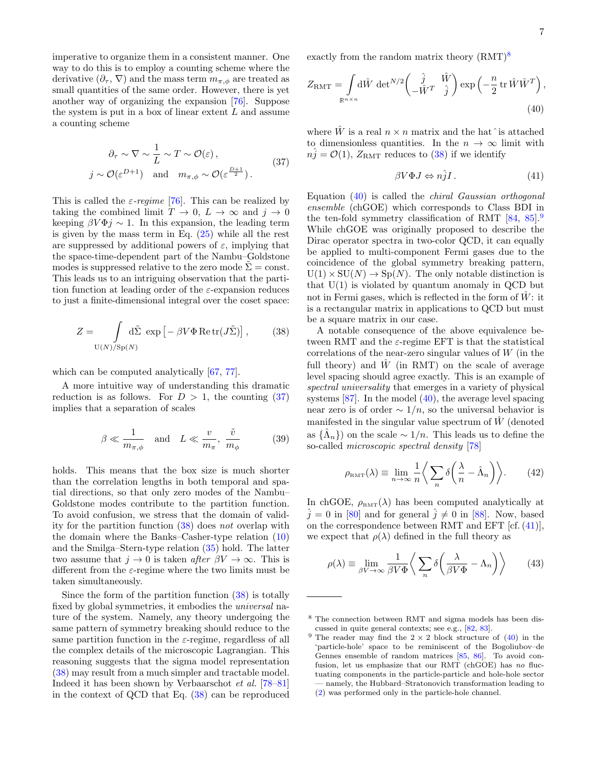imperative to organize them in a consistent manner. One way to do this is to employ a counting scheme where the derivative  $(\partial_{\tau}, \nabla)$  and the mass term  $m_{\pi,\phi}$  are treated as small quantities of the same order. However, there is yet another way of organizing the expansion [\[76\]](#page-12-38). Suppose the system is put in a box of linear extent  $L$  and assume a counting scheme

$$
\partial_{\tau} \sim \nabla \sim \frac{1}{L} \sim T \sim \mathcal{O}(\varepsilon),
$$
  
\n $j \sim \mathcal{O}(\varepsilon^{D+1})$  and  $m_{\pi,\phi} \sim \mathcal{O}(\varepsilon^{\frac{D+1}{2}}).$  (37)

This is called the  $\varepsilon$ -regime [\[76\]](#page-12-38). This can be realized by taking the combined limit  $T \to 0$ ,  $L \to \infty$  and  $j \to 0$ keeping  $\beta V \Phi j \sim 1$ . In this expansion, the leading term is given by the mass term in Eq.  $(25)$  while all the rest are suppressed by additional powers of  $\varepsilon$ , implying that the space-time-dependent part of the Nambu–Goldstone modes is suppressed relative to the zero mode  $\Sigma = \text{const.}$ This leads us to an intriguing observation that the partition function at leading order of the  $\varepsilon$ -expansion reduces to just a finite-dimensional integral over the coset space:

$$
Z = \int_{U(N)/Sp(N)} d\tilde{\Sigma} \exp \left[ -\beta V \Phi \operatorname{Re} \operatorname{tr}(J\tilde{\Sigma}) \right], \qquad (38)
$$

which can be computed analytically  $[67, 77]$  $[67, 77]$  $[67, 77]$ .

A more intuitive way of understanding this dramatic reduction is as follows. For  $D > 1$ , the counting [\(37\)](#page-6-0) implies that a separation of scales

$$
\beta \ll \frac{1}{m_{\pi,\phi}} \quad \text{and} \quad L \ll \frac{v}{m_{\pi}}, \frac{\tilde{v}}{m_{\phi}} \tag{39}
$$

holds. This means that the box size is much shorter than the correlation lengths in both temporal and spatial directions, so that only zero modes of the Nambu– Goldstone modes contribute to the partition function. To avoid confusion, we stress that the domain of validity for the partition function [\(38\)](#page-6-1) does not overlap with the domain where the Banks–Casher-type relation [\(10\)](#page-1-6) and the Smilga–Stern-type relation [\(35\)](#page-5-4) hold. The latter two assume that  $j \to 0$  is taken after  $\beta V \to \infty$ . This is different from the  $\varepsilon$ -regime where the two limits must be taken simultaneously.

Since the form of the partition function  $(38)$  is totally fixed by global symmetries, it embodies the universal nature of the system. Namely, any theory undergoing the same pattern of symmetry breaking should reduce to the same partition function in the  $\varepsilon$ -regime, regardless of all the complex details of the microscopic Lagrangian. This reasoning suggests that the sigma model representation [\(38\)](#page-6-1) may result from a much simpler and tractable model. Indeed it has been shown by Verbaarschot et al. [\[78](#page-12-40)[–81\]](#page-12-41) in the context of QCD that Eq. [\(38\)](#page-6-1) can be reproduced

exactly from the random matrix theory  $(RMT)^8$  $(RMT)^8$ 

$$
Z_{\rm RMT} = \int_{\mathbb{R}^{n \times n}} d\hat{W} \, \det^{N/2} \begin{pmatrix} \hat{j} & \hat{W} \\ -\hat{W}^T & \hat{j} \end{pmatrix} \exp\left(-\frac{n}{2} \operatorname{tr} \hat{W} \hat{W}^T\right),\tag{40}
$$

<span id="page-6-0"></span>where  $\hat{W}$  is a real  $n \times n$  matrix and the hat simulated to dimensionless quantities. In the  $n \to \infty$  limit with  $n\hat{j} = \mathcal{O}(1)$ ,  $Z_{\text{RMT}}$  reduces to [\(38\)](#page-6-1) if we identify

<span id="page-6-5"></span><span id="page-6-3"></span>
$$
\beta V \Phi J \Leftrightarrow n \hat{j} I. \tag{41}
$$

Equation [\(40\)](#page-6-3) is called the chiral Gaussian orthogonal ensemble (chGOE) which corresponds to Class BDI in the ten-fold symmetry classification of RMT  $[84, 85]$  $[84, 85]$  $[84, 85]$ .<sup>[9](#page-6-4)</sup> While chGOE was originally proposed to describe the Dirac operator spectra in two-color QCD, it can equally be applied to multi-component Fermi gases due to the coincidence of the global symmetry breaking pattern,  $U(1) \times SU(N) \rightarrow Sp(N)$ . The only notable distinction is that  $U(1)$  is violated by quantum anomaly in QCD but not in Fermi gases, which is reflected in the form of  $\hat{W}$ : it is a rectangular matrix in applications to QCD but must be a square matrix in our case.

<span id="page-6-1"></span>A notable consequence of the above equivalence between RMT and the  $\varepsilon$ -regime EFT is that the statistical correlations of the near-zero singular values of W (in the full theory) and  $\hat{W}$  (in RMT) on the scale of average level spacing should agree exactly. This is an example of spectral universality that emerges in a variety of physical systems [\[87\]](#page-12-44). In the model [\(40\)](#page-6-3), the average level spacing near zero is of order  $\sim 1/n$ , so the universal behavior is manifested in the singular value spectrum of  $\hat{W}$  (denoted as  $\{\hat{\Lambda}_n\}$  on the scale ~ 1/n. This leads us to define the so-called microscopic spectral density [\[78\]](#page-12-40)

$$
\rho_{\text{RMT}}(\lambda) \equiv \lim_{n \to \infty} \frac{1}{n} \left\langle \sum_{n} \delta \left( \frac{\lambda}{n} - \hat{\Lambda}_n \right) \right\rangle. \tag{42}
$$

In chGOE,  $\rho_{\text{RMT}}(\lambda)$  has been computed analytically at  $\hat{j} = 0$  in [\[80\]](#page-12-45) and for general  $\hat{j} \neq 0$  in [\[88\]](#page-12-46). Now, based on the correspondence between RMT and EFT [cf. [\(41\)](#page-6-5)], we expect that  $\rho(\lambda)$  defined in the full theory as

$$
\rho(\lambda) \equiv \lim_{\beta V \to \infty} \frac{1}{\beta V \Phi} \left\langle \sum_{n} \delta \left( \frac{\lambda}{\beta V \Phi} - \Lambda_n \right) \right\rangle \tag{43}
$$

<span id="page-6-2"></span><sup>8</sup> The connection between RMT and sigma models has been discussed in quite general contexts; see e.g., [\[82,](#page-12-47) [83\]](#page-12-48).

<span id="page-6-4"></span><sup>&</sup>lt;sup>9</sup> The reader may find the  $2 \times 2$  block structure of  $(40)$  in the 'particle-hole' space to be reminiscent of the Bogoliubov–de Gennes ensemble of random matrices [\[85,](#page-12-43) [86\]](#page-12-49). To avoid confusion, let us emphasize that our RMT (chGOE) has no fluctuating components in the particle-particle and hole-hole sector — namely, the Hubbard–Stratonovich transformation leading to [\(2\)](#page-1-3) was performed only in the particle-hole channel.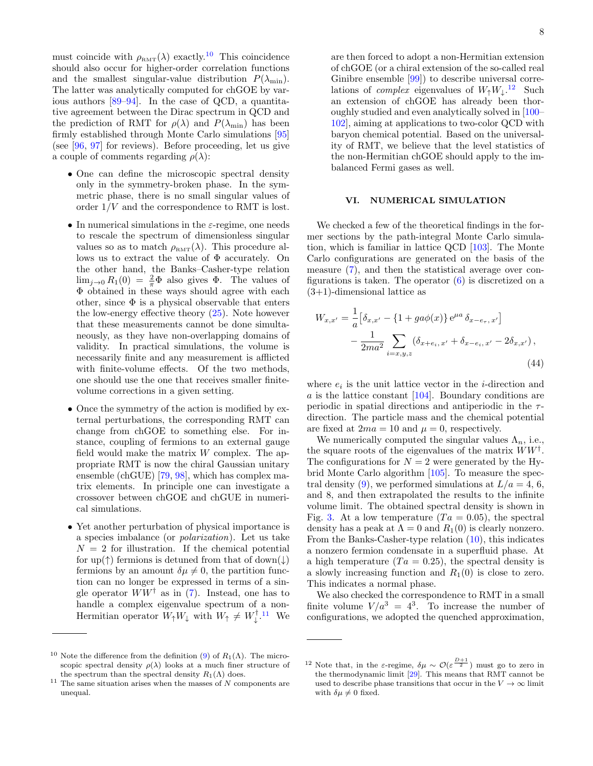must coincide with  $\rho_{\text{RMT}}(\lambda)$  exactly.<sup>[10](#page-7-1)</sup> This coincidence should also occur for higher-order correlation functions and the smallest singular-value distribution  $P(\lambda_{\min})$ . The latter was analytically computed for chGOE by various authors [\[89–](#page-12-50)[94\]](#page-13-0). In the case of QCD, a quantitative agreement between the Dirac spectrum in QCD and the prediction of RMT for  $\rho(\lambda)$  and  $P(\lambda_{\min})$  has been firmly established through Monte Carlo simulations [\[95\]](#page-13-1) (see [\[96,](#page-13-2) [97\]](#page-13-3) for reviews). Before proceeding, let us give a couple of comments regarding  $\rho(\lambda)$ :

- One can define the microscopic spectral density only in the symmetry-broken phase. In the symmetric phase, there is no small singular values of order  $1/V$  and the correspondence to RMT is lost.
- In numerical simulations in the  $\varepsilon$ -regime, one needs to rescale the spectrum of dimensionless singular values so as to match  $\rho_{\text{RMT}}(\lambda)$ . This procedure allows us to extract the value of  $\Phi$  accurately. On the other hand, the Banks–Casher-type relation  $\lim_{j\to 0} R_1(0) = \frac{2}{\pi} \Phi$  also gives  $\Phi$ . The values of Φ obtained in these ways should agree with each other, since  $\Phi$  is a physical observable that enters the low-energy effective theory [\(25\)](#page-4-6). Note however that these measurements cannot be done simultaneously, as they have non-overlapping domains of validity. In practical simulations, the volume is necessarily finite and any measurement is afflicted with finite-volume effects. Of the two methods, one should use the one that receives smaller finitevolume corrections in a given setting.
- Once the symmetry of the action is modified by external perturbations, the corresponding RMT can change from chGOE to something else. For instance, coupling of fermions to an external gauge field would make the matrix  $W$  complex. The appropriate RMT is now the chiral Gaussian unitary ensemble (chGUE) [\[79,](#page-12-51) [98\]](#page-13-4), which has complex matrix elements. In principle one can investigate a crossover between chGOE and chGUE in numerical simulations.
- Yet another perturbation of physical importance is a species imbalance (or polarization). Let us take  $N = 2$  for illustration. If the chemical potential for up( $\uparrow$ ) fermions is detuned from that of down( $\downarrow$ ) fermions by an amount  $\delta \mu \neq 0$ , the partition function can no longer be expressed in terms of a single operator  $WW^{\dagger}$  as in [\(7\)](#page-1-4). Instead, one has to handle a complex eigenvalue spectrum of a non-Hermitian operator  $W_{\uparrow}W_{\downarrow}$  with  $W_{\uparrow}\neq W_{\downarrow}^{\dagger}$ .<sup>[11](#page-7-2)</sup> We

are then forced to adopt a non-Hermitian extension of chGOE (or a chiral extension of the so-called real Ginibre ensemble [\[99\]](#page-13-5)) to describe universal correlations of *complex* eigenvalues of  $W_{\uparrow}W_{\downarrow}.^{12}$  $W_{\uparrow}W_{\downarrow}.^{12}$  $W_{\uparrow}W_{\downarrow}.^{12}$  Such an extension of chGOE has already been thoroughly studied and even analytically solved in [\[100–](#page-13-6) [102\]](#page-13-7), aiming at applications to two-color QCD with baryon chemical potential. Based on the universality of RMT, we believe that the level statistics of the non-Hermitian chGOE should apply to the imbalanced Fermi gases as well.

# <span id="page-7-0"></span>VI. NUMERICAL SIMULATION

We checked a few of the theoretical findings in the former sections by the path-integral Monte Carlo simulation, which is familiar in lattice QCD [\[103\]](#page-13-8). The Monte Carlo configurations are generated on the basis of the measure [\(7\)](#page-1-4), and then the statistical average over configurations is taken. The operator  $(6)$  is discretized on a  $(3+1)$ -dimensional lattice as

$$
W_{x,x'} = \frac{1}{a} \left[ \delta_{x,x'} - \{1 + ga\phi(x)\} e^{\mu a} \delta_{x-e_{\tau},x'} \right]
$$
  

$$
- \frac{1}{2ma^2} \sum_{i=x,y,z} \left( \delta_{x+e_i,x'} + \delta_{x-e_i,x'} - 2\delta_{x,x'} \right),
$$
  
(44)

where  $e_i$  is the unit lattice vector in the *i*-direction and a is the lattice constant  $[104]$ . Boundary conditions are periodic in spatial directions and antiperiodic in the  $\tau$ direction. The particle mass and the chemical potential are fixed at  $2ma = 10$  and  $\mu = 0$ , respectively.

We numerically computed the singular values  $\Lambda_n$ , i.e., the square roots of the eigenvalues of the matrix  $WW^{\dagger}$ . The configurations for  $N = 2$  were generated by the Hybrid Monte Carlo algorithm [\[105\]](#page-13-10). To measure the spec-tral density [\(9\)](#page-1-8), we performed simulations at  $L/a = 4, 6,$ and 8, and then extrapolated the results to the infinite volume limit. The obtained spectral density is shown in Fig. [3.](#page-8-0) At a low temperature  $(Ta = 0.05)$ , the spectral density has a peak at  $\Lambda = 0$  and  $R_1(0)$  is clearly nonzero. From the Banks-Casher-type relation [\(10\)](#page-1-6), this indicates a nonzero fermion condensate in a superfluid phase. At a high temperature  $(Ta = 0.25)$ , the spectral density is a slowly increasing function and  $R_1(0)$  is close to zero. This indicates a normal phase.

We also checked the correspondence to RMT in a small finite volume  $V/a^3 = 4^3$ . To increase the number of configurations, we adopted the quenched approximation,

<span id="page-7-1"></span><sup>&</sup>lt;sup>10</sup> Note the difference from the definition [\(9\)](#page-1-8) of  $R_1(\Lambda)$ . The microscopic spectral density  $\rho(\lambda)$  looks at a much finer structure of the spectrum than the spectral density  $R_1(\Lambda)$  does.

<span id="page-7-2"></span> $^{11}$  The same situation arises when the masses of  $N$  components are unequal.

<span id="page-7-3"></span><sup>&</sup>lt;sup>12</sup> Note that, in the  $\varepsilon$ -regime,  $\delta \mu \sim \mathcal{O}(\varepsilon^{\frac{D+1}{2}})$  must go to zero in the thermodynamic limit [\[29\]](#page-11-15). This means that RMT cannot be used to describe phase transitions that occur in the  $V \to \infty$  limit with  $\delta\mu \neq 0$  fixed.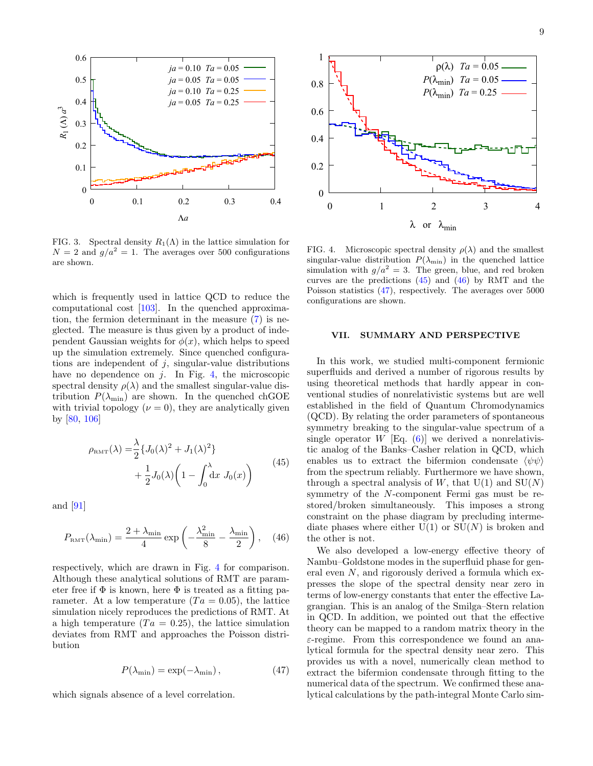

<span id="page-8-0"></span>FIG. 3. Spectral density  $R_1(\Lambda)$  in the lattice simulation for  $N = 2$  and  $g/a^2 = 1$ . The averages over 500 configurations are shown.

which is frequently used in lattice QCD to reduce the computational cost [\[103\]](#page-13-8). In the quenched approximation, the fermion determinant in the measure [\(7\)](#page-1-4) is neglected. The measure is thus given by a product of independent Gaussian weights for  $\phi(x)$ , which helps to speed up the simulation extremely. Since quenched configurations are independent of  $j$ , singular-value distributions have no dependence on  $j$ . In Fig. [4,](#page-8-1) the microscopic spectral density  $\rho(\lambda)$  and the smallest singular-value distribution  $P(\lambda_{\min})$  are shown. In the quenched chGOE with trivial topology  $(\nu = 0)$ , they are analytically given by [\[80,](#page-12-45) [106\]](#page-13-11)

$$
\rho_{\text{RMT}}(\lambda) = \frac{\lambda}{2} \{ J_0(\lambda)^2 + J_1(\lambda)^2 \}
$$
  
+ 
$$
\frac{1}{2} J_0(\lambda) \left( 1 - \int_0^{\lambda} dx J_0(x) \right)
$$
 (45)

and [\[91\]](#page-12-52)

$$
P_{\text{RMT}}(\lambda_{\text{min}}) = \frac{2 + \lambda_{\text{min}}}{4} \exp\left(-\frac{\lambda_{\text{min}}^2}{8} - \frac{\lambda_{\text{min}}}{2}\right), \quad (46)
$$

respectively, which are drawn in Fig. [4](#page-8-1) for comparison. Although these analytical solutions of RMT are parameter free if  $\Phi$  is known, here  $\Phi$  is treated as a fitting parameter. At a low temperature  $(Ta = 0.05)$ , the lattice simulation nicely reproduces the predictions of RMT. At a high temperature  $(Ta = 0.25)$ , the lattice simulation deviates from RMT and approaches the Poisson distribution

$$
P(\lambda_{\min}) = \exp(-\lambda_{\min}), \qquad (47)
$$

which signals absence of a level correlation.



<span id="page-8-1"></span>FIG. 4. Microscopic spectral density  $\rho(\lambda)$  and the smallest singular-value distribution  $P(\lambda_{\min})$  in the quenched lattice simulation with  $g/a^2 = 3$ . The green, blue, and red broken curves are the predictions  $(45)$  and  $(46)$  by RMT and the Poisson statistics [\(47\)](#page-8-4), respectively. The averages over 5000 configurations are shown.

# VII. SUMMARY AND PERSPECTIVE

<span id="page-8-2"></span>In this work, we studied multi-component fermionic superfluids and derived a number of rigorous results by using theoretical methods that hardly appear in conventional studies of nonrelativistic systems but are well established in the field of Quantum Chromodynamics (QCD). By relating the order parameters of spontaneous symmetry breaking to the singular-value spectrum of a single operator  $W$  [Eq. [\(6\)](#page-1-9)] we derived a nonrelativistic analog of the Banks–Casher relation in QCD, which enables us to extract the bifermion condensate  $\langle \psi \psi \rangle$ from the spectrum reliably. Furthermore we have shown, through a spectral analysis of  $W$ , that  $U(1)$  and  $SU(N)$ symmetry of the N-component Fermi gas must be restored/broken simultaneously. This imposes a strong constraint on the phase diagram by precluding intermediate phases where either  $U(1)$  or  $SU(N)$  is broken and the other is not.

<span id="page-8-4"></span><span id="page-8-3"></span>We also developed a low-energy effective theory of Nambu–Goldstone modes in the superfluid phase for general even N, and rigorously derived a formula which expresses the slope of the spectral density near zero in terms of low-energy constants that enter the effective Lagrangian. This is an analog of the Smilga–Stern relation in QCD. In addition, we pointed out that the effective theory can be mapped to a random matrix theory in the ε-regime. From this correspondence we found an analytical formula for the spectral density near zero. This provides us with a novel, numerically clean method to extract the bifermion condensate through fitting to the numerical data of the spectrum. We confirmed these analytical calculations by the path-integral Monte Carlo sim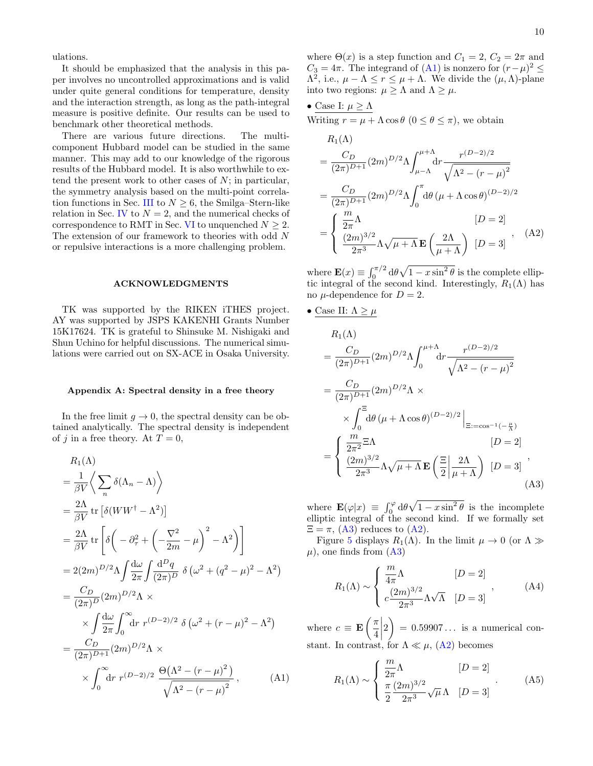ulations.

It should be emphasized that the analysis in this paper involves no uncontrolled approximations and is valid under quite general conditions for temperature, density and the interaction strength, as long as the path-integral measure is positive definite. Our results can be used to benchmark other theoretical methods.

There are various future directions. The multicomponent Hubbard model can be studied in the same manner. This may add to our knowledge of the rigorous results of the Hubbard model. It is also worthwhile to extend the present work to other cases of  $N$ ; in particular, the symmetry analysis based on the multi-point correla-tion functions in Sec. [III](#page-2-0) to  $N \geq 6$ , the Smilga–Stern-like relation in Sec. [IV](#page-4-0) to  $N = 2$ , and the numerical checks of correspondence to RMT in Sec. [VI](#page-7-0) to unquenched  $N \geq 2$ . The extension of our framework to theories with odd N or repulsive interactions is a more challenging problem.

## ACKNOWLEDGMENTS

TK was supported by the RIKEN iTHES project. AY was supported by JSPS KAKENHI Grants Number 15K17624. TK is grateful to Shinsuke M. Nishigaki and Shun Uchino for helpful discussions. The numerical simulations were carried out on SX-ACE in Osaka University.

#### <span id="page-9-0"></span>Appendix A: Spectral density in a free theory

In the free limit  $q \to 0$ , the spectral density can be obtained analytically. The spectral density is independent of j in a free theory. At  $T=0$ ,

$$
R_1(\Lambda)
$$
  
=  $\frac{1}{\beta V} \left\langle \sum_n \delta(\Lambda_n - \Lambda) \right\rangle$   
=  $\frac{2\Lambda}{\beta V}$  tr  $[\delta(WW^{\dagger} - \Lambda^2)]$   
=  $\frac{2\Lambda}{\beta V}$  tr  $\left[ \delta \left( -\partial_{\tau}^2 + \left( -\frac{\nabla^2}{2m} - \mu \right)^2 - \Lambda^2 \right) \right]$   
=  $2(2m)^{D/2} \Lambda \int \frac{d\omega}{2\pi} \int \frac{d^Dq}{(2\pi)^D} \delta (\omega^2 + (q^2 - \mu)^2 - \Lambda^2)$   
=  $\frac{C_D}{(2\pi)^D} (2m)^{D/2} \Lambda \times$   
 $\times \int \frac{d\omega}{2\pi} \int_0^{\infty} dr \ r^{(D-2)/2} \delta (\omega^2 + (r - \mu)^2 - \Lambda^2)$   
=  $\frac{C_D}{(2\pi)^{D+1}} (2m)^{D/2} \Lambda \times$   
 $\times \int_0^{\infty} dr \ r^{(D-2)/2} \frac{\Theta(\Lambda^2 - (r - \mu)^2)}{\sqrt{\Lambda^2 - (r - \mu)^2}},$  (A1)

where  $\Theta(x)$  is a step function and  $C_1 = 2$ ,  $C_2 = 2\pi$  and  $C_3 = 4\pi$ . The integrand of [\(A1\)](#page-9-1) is nonzero for  $(r - \mu)^2 \le$  $\Lambda^2$ , i.e.,  $\mu - \Lambda \leq r \leq \mu + \Lambda$ . We divide the  $(\mu, \Lambda)$ -plane into two regions:  $\mu \geq \Lambda$  and  $\Lambda \geq \mu$ .

# $\bullet$  Case I:  $\mu \geq \Lambda$

Writing  $r = \mu + \Lambda \cos \theta$   $(0 \le \theta \le \pi)$ , we obtain

$$
R_{1}(\Lambda)
$$
\n
$$
= \frac{C_{D}}{(2\pi)^{D+1}} (2m)^{D/2} \Lambda \int_{\mu-\Lambda}^{\mu+\Lambda} dr \frac{r^{(D-2)/2}}{\sqrt{\Lambda^{2} - (r - \mu)^{2}}}
$$
\n
$$
= \frac{C_{D}}{(2\pi)^{D+1}} (2m)^{D/2} \Lambda \int_{0}^{\pi} d\theta \left(\mu + \Lambda \cos \theta\right)^{(D-2)/2}
$$
\n
$$
= \begin{cases} \frac{m}{2\pi} \Lambda & [D = 2] \\ \frac{(2m)^{3/2}}{2\pi^{3}} \Lambda \sqrt{\mu + \Lambda} \mathbf{E} \left(\frac{2\Lambda}{\mu + \Lambda}\right) & [D = 3] \end{cases}, \quad (A2)
$$

<span id="page-9-3"></span>where  $\mathbf{E}(x) \equiv \int_0^{\pi/2} d\theta \sqrt{1 - x \sin^2 \theta}$  is the complete elliptic integral of the second kind. Interestingly,  $R_1(\Lambda)$  has no  $\mu$ -dependence for  $D=2$ .

• Case II:  $\Lambda \geq \mu$ 

$$
R_1(\Lambda)
$$
  
=  $\frac{C_D}{(2\pi)^{D+1}} (2m)^{D/2} \Lambda \int_0^{\mu+\Lambda} dr \frac{r^{(D-2)/2}}{\sqrt{\Lambda^2 - (r - \mu)^2}}$   
=  $\frac{C_D}{(2\pi)^{D+1}} (2m)^{D/2} \Lambda \times$   
 $\times \int_0^{\Xi} d\theta (\mu + \Lambda \cos \theta)^{(D-2)/2} \Big|_{\Xi: = \cos^{-1}(-\frac{\mu}{\Lambda})}$   
=  $\begin{cases} \frac{m}{2\pi^2} \Xi \Lambda & [D = 2] \\ \frac{(2m)^{3/2}}{2\pi^3} \Lambda \sqrt{\mu + \Lambda} \mathbf{E} \left( \frac{\Xi}{2} \Big| \frac{2\Lambda}{\mu + \Lambda} \right) & [D = 3] \end{cases}$ , (A3)

where  $\mathbf{E}(\varphi|x) \equiv \int_0^{\varphi} d\theta \sqrt{1-x\sin^2\theta}$  is the incomplete elliptic integral of the second kind. If we formally set  $\Xi = \pi$ , [\(A3\)](#page-9-2) reduces to [\(A2\)](#page-9-3).

Figure [5](#page-10-2) displays  $R_1(\Lambda)$ . In the limit  $\mu \to 0$  (or  $\Lambda \gg$  $\mu$ ), one finds from  $(A3)$ 

<span id="page-9-2"></span>
$$
R_1(\Lambda) \sim \begin{cases} \frac{m}{4\pi} \Lambda & [D=2] \\ c \frac{(2m)^{3/2}}{2\pi^3} \Lambda \sqrt{\Lambda} & [D=3] \end{cases}, \quad (A4)
$$

<span id="page-9-1"></span>where  $c \equiv \mathbf{E} \left( \frac{\pi}{4} \right)$ 4  $2 = 0.59907...$  is a numerical constant. In contrast, for  $\Lambda \ll \mu$ , [\(A2\)](#page-9-3) becomes

$$
R_1(\Lambda) \sim \begin{cases} \frac{m}{2\pi} \Lambda & [D=2] \\ \frac{\pi}{2} \frac{(2m)^{3/2}}{2\pi^3} \sqrt{\mu} \Lambda & [D=3] \end{cases} . \tag{A5}
$$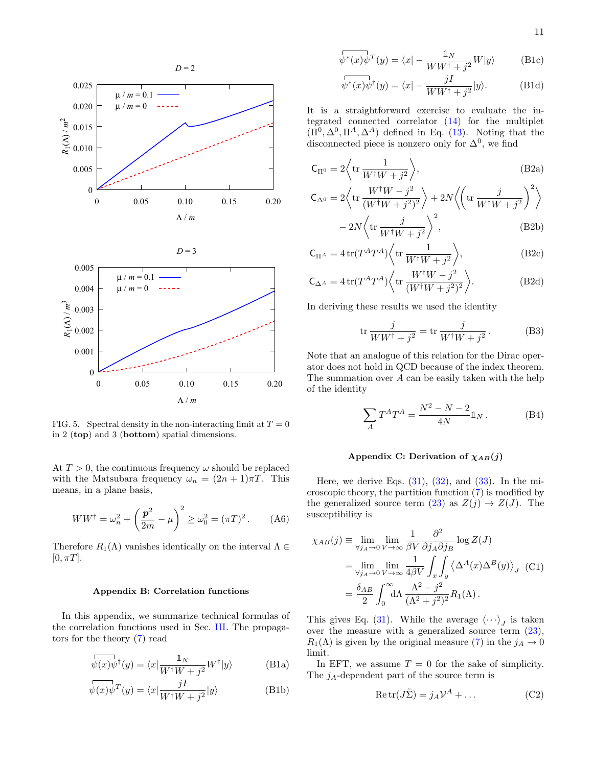

<span id="page-10-2"></span>FIG. 5. Spectral density in the non-interacting limit at  $T = 0$ in 2 (top) and 3 (bottom) spatial dimensions.

At  $T > 0$ , the continuous frequency  $\omega$  should be replaced with the Matsubara frequency  $\omega_n = (2n+1)\pi T$ . This means, in a plane basis,

$$
WW^{\dagger} = \omega_n^2 + \left(\frac{\mathbf{p}^2}{2m} - \mu\right)^2 \ge \omega_0^2 = (\pi T)^2. \quad (A6)
$$

Therefore  $R_1(\Lambda)$  vanishes identically on the interval  $\Lambda \in$  $[0, \pi T]$ .

#### <span id="page-10-0"></span>Appendix B: Correlation functions

In this appendix, we summarize technical formulas of the correlation functions used in Sec. [III.](#page-2-0) The propagators for the theory [\(7\)](#page-1-4) read

$$
\overline{\psi(x)}\overline{\psi}^{\dagger}(y) = \langle x|\frac{\mathbb{1}_N}{W^{\dagger}W + j^2}W^{\dagger}|y\rangle
$$
 (B1a)

$$
\overline{\psi(x)}\overline{\psi}^T(y) = \langle x|\frac{jI}{W^{\dagger}W+j^2}|y\rangle
$$
 (B1b)

$$
\overline{\psi^*(x)}\overline{\psi^T}(y) = \langle x | - \frac{\mathbb{1}_N}{WW^\dagger + j^2}W|y\rangle
$$
 (B1c)

$$
\overline{\psi^*(x)}\overline{\psi^{\dagger}(y)} = \langle x| - \frac{jI}{WW^{\dagger} + j^2}|y\rangle.
$$
 (B1d)

It is a straightforward exercise to evaluate the integrated connected correlator [\(14\)](#page-3-4) for the multiplet  $(\Pi^0, \Delta^0, \Pi^A, \Delta^A)$  defined in Eq. [\(13\)](#page-3-5). Noting that the disconnected piece is nonzero only for  $\Delta^0$ , we find

$$
C_{\Pi^0} = 2 \left\langle \text{tr} \frac{1}{W^{\dagger} W + j^2} \right\rangle, \tag{B2a}
$$

$$
\mathsf{C}_{\Delta^0} = 2 \left\langle \text{tr} \, \frac{W^{\dagger} W - j^2}{(W^{\dagger} W + j^2)^2} \right\rangle + 2N \left\langle \left( \text{tr} \, \frac{j}{W^{\dagger} W + j^2} \right)^2 \right\rangle
$$

$$
- 2N \left\langle \text{tr} \, \frac{j}{W^{\dagger} W + j^2} \right\rangle^2, \tag{B2b}
$$

$$
C_{\Pi^A} = 4 \operatorname{tr} (T^A T^A) \left\langle \operatorname{tr} \frac{1}{W^{\dagger} W + j^2} \right\rangle, \tag{B2c}
$$

$$
\mathsf{C}_{\Delta^A} = 4 \operatorname{tr} (T^A T^A) \left\langle \operatorname{tr} \frac{W^\dagger W - j^2}{(W^\dagger W + j^2)^2} \right\rangle. \tag{B2d}
$$

In deriving these results we used the identity

$$
\text{tr}\,\frac{j}{WW^\dagger + j^2} = \text{tr}\,\frac{j}{W^\dagger W + j^2}.
$$
 (B3)

Note that an analogue of this relation for the Dirac operator does not hold in QCD because of the index theorem. The summation over  $A$  can be easily taken with the help of the identity

$$
\sum_{A} T^{A} T^{A} = \frac{N^{2} - N - 2}{4N} \mathbb{1}_{N}. \tag{B4}
$$

# <span id="page-10-1"></span>Appendix C: Derivation of  $\chi_{AB}(j)$

Here, we derive Eqs.  $(31)$ ,  $(32)$ , and  $(33)$ . In the microscopic theory, the partition function [\(7\)](#page-1-4) is modified by the generalized source term [\(23\)](#page-4-7) as  $Z(j) \rightarrow Z(J)$ . The susceptibility is

$$
\chi_{AB}(j) \equiv \lim_{\forall j_A \to 0} \lim_{V \to \infty} \frac{1}{\beta V} \frac{\partial^2}{\partial j_A \partial j_B} \log Z(J)
$$
  
= 
$$
\lim_{\forall j_A \to 0} \lim_{V \to \infty} \frac{1}{4\beta V} \int_x \int_y \langle \Delta^A(x) \Delta^B(y) \rangle_J \quad (C1)
$$
  
= 
$$
\frac{\delta_{AB}}{2} \int_0^\infty d\Lambda \frac{\Lambda^2 - j^2}{(\Lambda^2 + j^2)^2} R_1(\Lambda).
$$

This gives Eq. [\(31\)](#page-5-1). While the average  $\langle \cdots \rangle_j$  is taken over the measure with a generalized source term [\(23\)](#page-4-7),  $R_1(\Lambda)$  is given by the original measure [\(7\)](#page-1-4) in the  $j_A \to 0$ limit.

In EFT, we assume  $T = 0$  for the sake of simplicity. The  $j_A$ -dependent part of the source term is

$$
Retr(J\tilde{\Sigma}) = j_A \mathcal{V}^A + \dots \tag{C2}
$$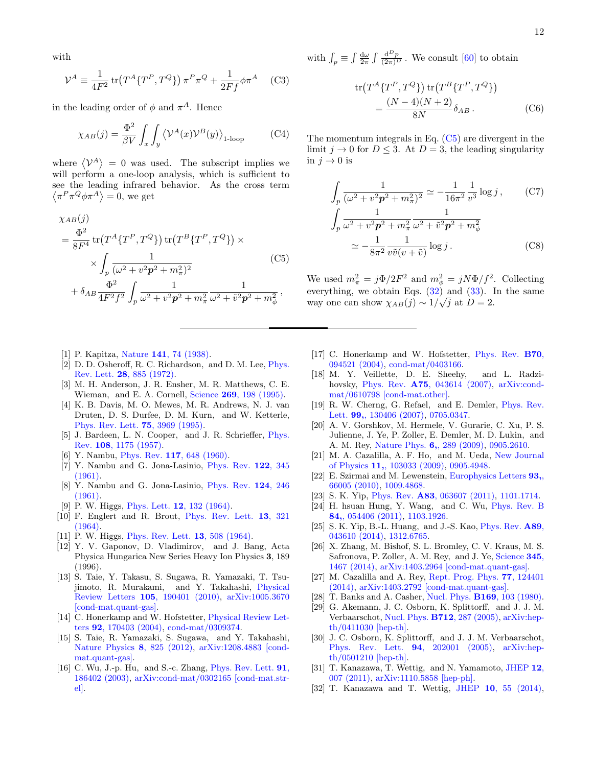with

$$
\mathcal{V}^A \equiv \frac{1}{4F^2} \operatorname{tr} (T^A \{ T^P, T^Q \}) \pi^P \pi^Q + \frac{1}{2Ff} \phi \pi^A \quad \text{(C3)}
$$

in the leading order of  $\phi$  and  $\pi^A$ . Hence

$$
\chi_{AB}(j) = \frac{\Phi^2}{\beta V} \int_x \int_y \langle \mathcal{V}^A(x) \mathcal{V}^B(y) \rangle_{1\text{-loop}} \tag{C4}
$$

where  $\langle V^A \rangle = 0$  was used. The subscript implies we will perform a one-loop analysis, which is sufficient to see the leading infrared behavior. As the cross term  $\langle \pi^P \pi^Q \phi \pi^A \rangle = 0$ , we get

$$
\chi_{AB}(j) = \frac{\Phi^2}{8F^4} \text{tr}\left(T^A \{T^P, T^Q\}\right) \text{tr}\left(T^B \{T^P, T^Q\}\right) \times \\ \times \int_p \frac{1}{(\omega^2 + v^2 p^2 + m_\pi^2)^2} \\ + \delta_{AB} \frac{\Phi^2}{4F^2 f^2} \int_p \frac{1}{\omega^2 + v^2 p^2 + m_\pi^2} \frac{1}{\omega^2 + \tilde{v}^2 p^2 + m_\phi^2},
$$
\n(C5)

- <span id="page-11-0"></span>[1] P. Kapitza, Nature 141[, 74 \(1938\).](http://dx.doi.org/10.1038/141074a0)
- [2] D. D. Osheroff, R. C. Richardson, and D. M. Lee, *[Phys.](http://dx.doi.org/10.1103/PhysRevLett.28.885)* Rev. Lett. 28[, 885 \(1972\).](http://dx.doi.org/10.1103/PhysRevLett.28.885)
- [3] M. H. Anderson, J. R. Ensher, M. R. Matthews, C. E. Wieman, and E. A. Cornell, Science 269[, 198 \(1995\).](http://dx.doi.org/10.1126/science.269.5221.198)
- <span id="page-11-1"></span>[4] K. B. Davis, M. O. Mewes, M. R. Andrews, N. J. van Druten, D. S. Durfee, D. M. Kurn, and W. Ketterle, [Phys. Rev. Lett.](http://dx.doi.org/ 10.1103/PhysRevLett.75.3969) 75, 3969 (1995).
- <span id="page-11-2"></span>[5] J. Bardeen, L. N. Cooper, and J. R. Schrieffer, [Phys.](http://dx.doi.org/10.1103/PhysRev.108.1175) Rev. 108[, 1175 \(1957\).](http://dx.doi.org/10.1103/PhysRev.108.1175)
- <span id="page-11-3"></span>[6] Y. Nambu, Phys. Rev. **117**[, 648 \(1960\).](http://dx.doi.org/10.1103/PhysRev.117.648)
- [7] Y. Nambu and G. Jona-Lasinio, [Phys. Rev.](http://dx.doi.org/10.1103/PhysRev.122.345) 122, 345 [\(1961\).](http://dx.doi.org/10.1103/PhysRev.122.345)
- <span id="page-11-4"></span>[8] Y. Nambu and G. Jona-Lasinio, [Phys. Rev.](http://dx.doi.org/10.1103/PhysRev.124.246) 124, 246 [\(1961\).](http://dx.doi.org/10.1103/PhysRev.124.246)
- <span id="page-11-5"></span>[9] P. W. Higgs, Phys. Lett. 12[, 132 \(1964\).](http://dx.doi.org/10.1016/0031-9163(64)91136-9)
- [10] F. Englert and R. Brout, [Phys. Rev. Lett.](http://dx.doi.org/10.1103/PhysRevLett.13.321) 13, 321 [\(1964\).](http://dx.doi.org/10.1103/PhysRevLett.13.321)
- <span id="page-11-6"></span>[11] P. W. Higgs, *[Phys. Rev. Lett.](http://dx.doi.org/10.1103/PhysRevLett.13.508)* **13**, 508 (1964).
- <span id="page-11-7"></span>[12] Y. V. Gaponov, D. Vladimirov, and J. Bang, Acta Physica Hungarica New Series Heavy Ion Physics 3, 189 (1996).
- <span id="page-11-8"></span>[13] S. Taie, Y. Takasu, S. Sugawa, R. Yamazaki, T. Tsujimoto, R. Murakami, and Y. Takahashi, [Physical](http://dx.doi.org/ 10.1103/PhysRevLett.105.190401) Review Letters 105[, 190401 \(2010\),](http://dx.doi.org/ 10.1103/PhysRevLett.105.190401) [arXiv:1005.3670](http://arxiv.org/abs/1005.3670) [\[cond-mat.quant-gas\].](http://arxiv.org/abs/1005.3670)
- <span id="page-11-9"></span>[14] C. Honerkamp and W. Hofstetter, [Physical Review Let](http://dx.doi.org/10.1103/PhysRevLett.92.170403)ters 92[, 170403 \(2004\),](http://dx.doi.org/10.1103/PhysRevLett.92.170403) [cond-mat/0309374.](http://arxiv.org/abs/cond-mat/0309374)
- <span id="page-11-10"></span>[15] S. Taie, R. Yamazaki, S. Sugawa, and Y. Takahashi, [Nature Physics](http://dx.doi.org/10.1038/nphys2430) 8, 825 (2012), [arXiv:1208.4883 \[cond](http://arxiv.org/abs/1208.4883)[mat.quant-gas\].](http://arxiv.org/abs/1208.4883)
- <span id="page-11-11"></span>[16] C. Wu, J.-p. Hu, and S.-c. Zhang, [Phys. Rev. Lett.](http://dx.doi.org/10.1103/PhysRevLett.91.186402) 91, [186402 \(2003\),](http://dx.doi.org/10.1103/PhysRevLett.91.186402) [arXiv:cond-mat/0302165 \[cond-mat.str](http://arxiv.org/abs/cond-mat/0302165)[el\].](http://arxiv.org/abs/cond-mat/0302165)

with  $\int_p \equiv \int \frac{d\omega}{2\pi} \int \frac{d^D p}{(2\pi)^D}$ . We consult [\[60\]](#page-12-21) to obtain

$$
\text{tr}\left(T^{A}\{T^{P},T^{Q}\}\right)\text{tr}\left(T^{B}\{T^{P},T^{Q}\}\right) =\frac{(N-4)(N+2)}{8N}\delta_{AB}.
$$
 (C6)

The momentum integrals in Eq.  $(C5)$  are divergent in the limit  $j \to 0$  for  $D \leq 3$ . At  $D = 3$ , the leading singularity in  $j \to 0$  is

$$
\int_{p} \frac{1}{(\omega^2 + v^2 \mathbf{p}^2 + m_{\pi}^2)^2} \simeq -\frac{1}{16\pi^2} \frac{1}{v^3} \log j, \qquad \text{(C7)}
$$
\n
$$
\int_{p} \frac{1}{\omega^2 + v^2 \mathbf{p}^2 + m_{\pi}^2} \frac{1}{\omega^2 + \tilde{v}^2 \mathbf{p}^2 + m_{\phi}^2}
$$
\n
$$
\simeq -\frac{1}{8\pi^2} \frac{1}{v\tilde{v}(v + \tilde{v})} \log j. \qquad \text{(C8)}
$$

<span id="page-11-18"></span>We used  $m_{\pi}^2 = j\Phi/2F^2$  and  $m_{\phi}^2 = jN\Phi/f^2$ . Collecting everything, we obtain Eqs.  $(32)$  and  $(33)$ . In the same way one can show  $\chi_{AB}(j) \sim 1/\sqrt{j}$  at  $D = 2$ .

- [17] C. Honerkamp and W. Hofstetter, [Phys. Rev.](http://dx.doi.org/10.1103/PhysRevB.70.094521) **B70**, [094521 \(2004\),](http://dx.doi.org/10.1103/PhysRevB.70.094521) [cond-mat/0403166.](http://arxiv.org/abs/cond-mat/0403166)
- [18] M. Y. Veillette, D. E. Sheehy, and L. Radzihovsky, Phys. Rev. **A75**[, 043614 \(2007\),](http://dx.doi.org/10.1103/PhysRevA.75.043614) [arXiv:cond](http://arxiv.org/abs/cond-mat/0610798)[mat/0610798 \[cond-mat.other\].](http://arxiv.org/abs/cond-mat/0610798)
- [19] R. W. Cherng, G. Refael, and E. Demler, [Phys. Rev.](http://dx.doi.org/10.1103/PhysRevLett.99.130406) Lett. 99,[, 130406 \(2007\),](http://dx.doi.org/10.1103/PhysRevLett.99.130406) [0705.0347.](http://arxiv.org/abs/0705.0347)
- [20] A. V. Gorshkov, M. Hermele, V. Gurarie, C. Xu, P. S. Julienne, J. Ye, P. Zoller, E. Demler, M. D. Lukin, and A. M. Rey, [Nature Phys.](http://dx.doi.org/10.1038/nphys1535) 6,, 289 (2009), [0905.2610.](http://arxiv.org/abs/0905.2610)
- [21] M. A. Cazalilla, A. F. Ho, and M. Ueda, [New Journal](http://dx.doi.org/10.1088/1367-2630/11/10/103033) of Physics 11,[, 103033 \(2009\),](http://dx.doi.org/10.1088/1367-2630/11/10/103033) [0905.4948.](http://arxiv.org/abs/0905.4948)
- [22] E. Szirmai and M. Lewenstein, [Europhysics Letters](http://dx.doi.org/10.1209/0295-5075/93/66005) 93,, [66005 \(2010\),](http://dx.doi.org/10.1209/0295-5075/93/66005) [1009.4868.](http://arxiv.org/abs/1009.4868)
- <span id="page-11-17"></span>[23] S. K. Yip, Phys. Rev. **A83**[, 063607 \(2011\),](http://dx.doi.org/10.1103/PhysRevA.83.063607) [1101.1714.](http://arxiv.org/abs/1101.1714)
- [24] H. hsuan Hung, Y. Wang, and C. Wu, [Phys. Rev. B](http://dx.doi.org/10.1103/PhysRevB.84.054406) 84,[, 054406 \(2011\),](http://dx.doi.org/10.1103/PhysRevB.84.054406) [1103.1926.](http://arxiv.org/abs/1103.1926)
- [25] S. K. Yip, B.-L. Huang, and J.-S. Kao, *[Phys. Rev.](http://dx.doi.org/10.1103/PhysRevA.89.043610)* A89, [043610 \(2014\),](http://dx.doi.org/10.1103/PhysRevA.89.043610) [1312.6765.](http://arxiv.org/abs/1312.6765)
- <span id="page-11-12"></span>[26] X. Zhang, M. Bishof, S. L. Bromley, C. V. Kraus, M. S. Safronova, P. Zoller, A. M. Rey, and J. Ye, [Science](http://dx.doi.org/10.1126/science.1254978) 345, [1467 \(2014\),](http://dx.doi.org/10.1126/science.1254978) [arXiv:1403.2964 \[cond-mat.quant-gas\].](http://arxiv.org/abs/1403.2964)
- <span id="page-11-13"></span>[27] M. Cazalilla and A. Rey, [Rept. Prog. Phys.](http://dx.doi.org/10.1088/0034-4885/77/12/124401) 77, 124401 [\(2014\),](http://dx.doi.org/10.1088/0034-4885/77/12/124401) [arXiv:1403.2792 \[cond-mat.quant-gas\].](http://arxiv.org/abs/1403.2792)
- <span id="page-11-14"></span>[28] T. Banks and A. Casher, Nucl. Phys. **B169**[, 103 \(1980\).](http://dx.doi.org/10.1016/0550-3213(80)90255-2)
- <span id="page-11-15"></span>[29] G. Akemann, J. C. Osborn, K. Splittorff, and J. J. M. Verbaarschot, Nucl. Phys. B712[, 287 \(2005\),](http://dx.doi.org/10.1016/j.nuclphysb.2005.01.018) [arXiv:hep](http://arxiv.org/abs/hep-th/0411030)[th/0411030 \[hep-th\].](http://arxiv.org/abs/hep-th/0411030)
- [30] J. C. Osborn, K. Splittorff, and J. J. M. Verbaarschot, [Phys. Rev. Lett.](http://dx.doi.org/10.1103/PhysRevLett.94.202001) 94, 202001 (2005), [arXiv:hep](http://arxiv.org/abs/hep-th/0501210)[th/0501210 \[hep-th\].](http://arxiv.org/abs/hep-th/0501210)
- <span id="page-11-16"></span>[31] T. Kanazawa, T. Wettig, and N. Yamamoto, [JHEP](http://dx.doi.org/10.1007/JHEP12(2011)007) 12, [007 \(2011\),](http://dx.doi.org/10.1007/JHEP12(2011)007) [arXiv:1110.5858 \[hep-ph\].](http://arxiv.org/abs/1110.5858)
- [32] T. Kanazawa and T. Wettig, JHEP 10[, 55 \(2014\),](http://dx.doi.org/10.1007/JHEP10(2014)055)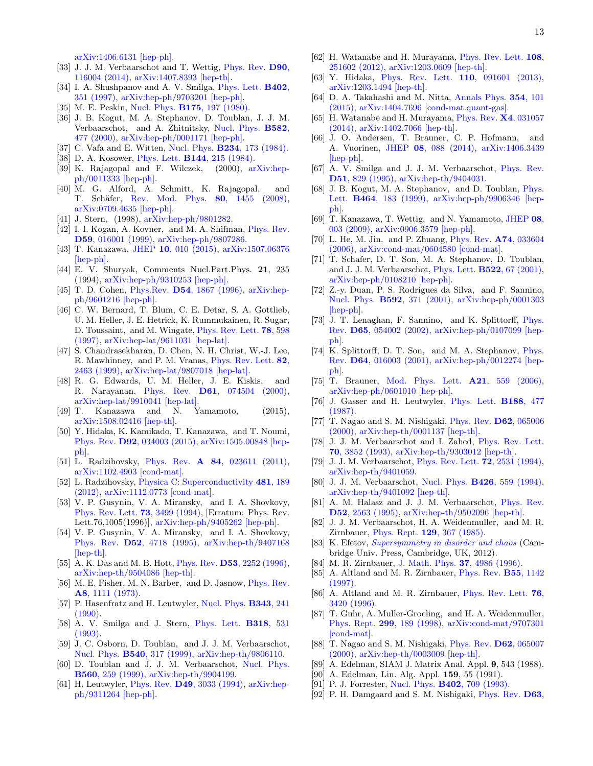[arXiv:1406.6131 \[hep-ph\].](http://arxiv.org/abs/1406.6131)

- <span id="page-12-0"></span>[33] J. J. M. Verbaarschot and T. Wettig, [Phys. Rev.](http://dx.doi.org/10.1103/PhysRevD.90.116004) D90, [116004 \(2014\),](http://dx.doi.org/10.1103/PhysRevD.90.116004) [arXiv:1407.8393 \[hep-th\].](http://arxiv.org/abs/1407.8393)
- <span id="page-12-1"></span>[34] I. A. Shushpanov and A. V. Smilga, *[Phys. Lett.](http://dx.doi.org/10.1016/S0370-2693(97)00441-3)* **B402**, [351 \(1997\),](http://dx.doi.org/10.1016/S0370-2693(97)00441-3) [arXiv:hep-ph/9703201 \[hep-ph\].](http://arxiv.org/abs/hep-ph/9703201)
- <span id="page-12-2"></span>[35] M. E. Peskin, Nucl. Phys. **B175**[, 197 \(1980\).](http://dx.doi.org/10.1016/0550-3213(80)90051-6)
- <span id="page-12-3"></span>[36] J. B. Kogut, M. A. Stephanov, D. Toublan, J. J. M. Verbaarschot, and A. Zhitnitsky, [Nucl. Phys.](http://dx.doi.org/10.1016/S0550-3213(00)00242-X) B582, [477 \(2000\),](http://dx.doi.org/10.1016/S0550-3213(00)00242-X) [arXiv:hep-ph/0001171 \[hep-ph\].](http://arxiv.org/abs/hep-ph/0001171)
- <span id="page-12-4"></span>[37] C. Vafa and E. Witten, Nucl. Phys. **B234**[, 173 \(1984\).](http://dx.doi.org/10.1016/0550-3213(84)90230-X)
- <span id="page-12-5"></span>[38] D. A. Kosower, Phys. Lett. **B144**[, 215 \(1984\).](http://dx.doi.org/10.1016/0370-2693(84)91806-9)
- <span id="page-12-6"></span>[39] K. Rajagopal and F. Wilczek, (2000), [arXiv:hep](http://arxiv.org/abs/hep-ph/0011333)[ph/0011333 \[hep-ph\].](http://arxiv.org/abs/hep-ph/0011333)
- <span id="page-12-7"></span>[40] M. G. Alford, A. Schmitt, K. Rajagopal, and T. Schäfer, [Rev. Mod. Phys.](http://dx.doi.org/10.1103/RevModPhys.80.1455) **80**, 1455 (2008), [arXiv:0709.4635 \[hep-ph\].](http://arxiv.org/abs/0709.4635)
- <span id="page-12-8"></span>[41] J. Stern, (1998), [arXiv:hep-ph/9801282.](http://arxiv.org/abs/hep-ph/9801282)
- [42] I. I. Kogan, A. Kovner, and M. A. Shifman, *[Phys. Rev.](http://dx.doi.org/10.1103/PhysRevD.59.016001)* D59[, 016001 \(1999\),](http://dx.doi.org/10.1103/PhysRevD.59.016001) [arXiv:hep-ph/9807286.](http://arxiv.org/abs/hep-ph/9807286)
- <span id="page-12-9"></span>[43] T. Kanazawa, JHEP 10[, 010 \(2015\),](http://dx.doi.org/10.1007/JHEP10(2015)010) [arXiv:1507.06376](http://arxiv.org/abs/1507.06376) [\[hep-ph\].](http://arxiv.org/abs/1507.06376)
- <span id="page-12-10"></span>[44] E. V. Shuryak, Comments Nucl.Part.Phys. 21, 235 (1994), [arXiv:hep-ph/9310253 \[hep-ph\].](http://arxiv.org/abs/hep-ph/9310253)
- [45] T. D. Cohen, Phys.Rev. D54[, 1867 \(1996\),](http://dx.doi.org/10.1103/PhysRevD.54.R1867) [arXiv:hep](http://arxiv.org/abs/hep-ph/9601216)[ph/9601216 \[hep-ph\].](http://arxiv.org/abs/hep-ph/9601216)
- [46] C. W. Bernard, T. Blum, C. E. Detar, S. A. Gottlieb, U. M. Heller, J. E. Hetrick, K. Rummukainen, R. Sugar, D. Toussaint, and M. Wingate, [Phys. Rev. Lett.](http://dx.doi.org/10.1103/PhysRevLett.78.598) 78, 598 [\(1997\),](http://dx.doi.org/10.1103/PhysRevLett.78.598) [arXiv:hep-lat/9611031 \[hep-lat\].](http://arxiv.org/abs/hep-lat/9611031)
- [47] S. Chandrasekharan, D. Chen, N. H. Christ, W.-J. Lee, R. Mawhinney, and P. M. Vranas, [Phys. Rev. Lett.](http://dx.doi.org/ 10.1103/PhysRevLett.82.2463) 82, [2463 \(1999\),](http://dx.doi.org/ 10.1103/PhysRevLett.82.2463) [arXiv:hep-lat/9807018 \[hep-lat\].](http://arxiv.org/abs/hep-lat/9807018)
- [48] R. G. Edwards, U. M. Heller, J. E. Kiskis, and R. Narayanan, Phys. Rev. D61[, 074504 \(2000\),](http://dx.doi.org/10.1103/PhysRevD.61.074504) [arXiv:hep-lat/9910041 \[hep-lat\].](http://arxiv.org/abs/hep-lat/9910041)
- <span id="page-12-11"></span>[49] T. Kanazawa and N. Yamamoto, (2015), [arXiv:1508.02416 \[hep-th\].](http://arxiv.org/abs/1508.02416)
- <span id="page-12-12"></span>[50] Y. Hidaka, K. Kamikado, T. Kanazawa, and T. Noumi, Phys. Rev. D92[, 034003 \(2015\),](http://dx.doi.org/10.1103/PhysRevD.92.034003) [arXiv:1505.00848 \[hep](http://arxiv.org/abs/1505.00848)[ph\].](http://arxiv.org/abs/1505.00848)
- <span id="page-12-13"></span>[51] L. Radzihovsky, Phys. Rev. **A 84**[, 023611 \(2011\),](http://dx.doi.org/10.1103/PhysRevA.84.023611) [arXiv:1102.4903 \[cond-mat\].](http://arxiv.org/abs/1102.4903)
- <span id="page-12-14"></span>[52] L. Radzihovsky, [Physica C: Superconductivity](http://dx.doi.org/10.1016/j.physc.2012.04.014) 481, 189 [\(2012\),](http://dx.doi.org/10.1016/j.physc.2012.04.014) [arXiv:1112.0773 \[cond-mat\].](http://arxiv.org/abs/1112.0773)
- <span id="page-12-15"></span>[53] V. P. Gusynin, V. A. Miransky, and I. A. Shovkovy, [Phys. Rev. Lett.](http://dx.doi.org/10.1103/PhysRevLett.73.3499) 73, 3499 (1994), [Erratum: Phys. Rev. Lett.76,1005(1996)], [arXiv:hep-ph/9405262 \[hep-ph\].](http://arxiv.org/abs/hep-ph/9405262)
- <span id="page-12-16"></span>[54] V. P. Gusynin, V. A. Miransky, and I. A. Shovkovy, Phys. Rev. D52[, 4718 \(1995\),](http://dx.doi.org/10.1103/PhysRevD.52.4718) [arXiv:hep-th/9407168](http://arxiv.org/abs/hep-th/9407168) [\[hep-th\].](http://arxiv.org/abs/hep-th/9407168)
- <span id="page-12-17"></span>[55] A. K. Das and M. B. Hott, *Phys. Rev.* **D53**[, 2252 \(1996\),](http://dx.doi.org/10.1103/PhysRevD.53.2252) [arXiv:hep-th/9504086 \[hep-th\].](http://arxiv.org/abs/hep-th/9504086)
- <span id="page-12-18"></span>[56] M. E. Fisher, M. N. Barber, and D. Jasnow, [Phys. Rev.](http://dx.doi.org/10.1103/PhysRevA.8.1111) A8[, 1111 \(1973\).](http://dx.doi.org/10.1103/PhysRevA.8.1111)
- <span id="page-12-19"></span>[57] P. Hasenfratz and H. Leutwyler, [Nucl. Phys.](http://dx.doi.org/10.1016/0550-3213(90)90603-B) B343, 241 [\(1990\).](http://dx.doi.org/10.1016/0550-3213(90)90603-B)
- <span id="page-12-20"></span>[58] A. V. Smilga and J. Stern, [Phys. Lett.](http://dx.doi.org/10.1016/0370-2693(93)91551-W) **B318**, 531 [\(1993\).](http://dx.doi.org/10.1016/0370-2693(93)91551-W)
- <span id="page-12-37"></span>[59] J. C. Osborn, D. Toublan, and J. J. M. Verbaarschot, Nucl. Phys. B540[, 317 \(1999\),](http://dx.doi.org/10.1016/S0550-3213(98)00716-0) [arXiv:hep-th/9806110.](http://arxiv.org/abs/hep-th/9806110)
- <span id="page-12-21"></span>[60] D. Toublan and J. J. M. Verbaarschot, [Nucl. Phys.](http://dx.doi.org/10.1016/S0550-3213(99)00449-6) B560[, 259 \(1999\),](http://dx.doi.org/10.1016/S0550-3213(99)00449-6) [arXiv:hep-th/9904199.](http://arxiv.org/abs/hep-th/9904199)
- <span id="page-12-22"></span>[61] H. Leutwyler, Phys. Rev. D49[, 3033 \(1994\),](http://dx.doi.org/10.1103/PhysRevD.49.3033) [arXiv:hep](http://arxiv.org/abs/hep-ph/9311264)[ph/9311264 \[hep-ph\].](http://arxiv.org/abs/hep-ph/9311264)
- <span id="page-12-30"></span>[62] H. Watanabe and H. Murayama, [Phys. Rev. Lett.](http://dx.doi.org/10.1103/PhysRevLett.108.251602) 108, [251602 \(2012\),](http://dx.doi.org/10.1103/PhysRevLett.108.251602) [arXiv:1203.0609 \[hep-th\].](http://arxiv.org/abs/1203.0609)
- <span id="page-12-28"></span>[63] Y. Hidaka, [Phys. Rev. Lett.](http://dx.doi.org/10.1103/PhysRevLett.110.091601) 110, 091601 (2013), [arXiv:1203.1494 \[hep-th\].](http://arxiv.org/abs/1203.1494)
- <span id="page-12-23"></span>[64] D. A. Takahashi and M. Nitta, [Annals Phys.](http://dx.doi.org/10.1016/j.aop.2014.12.009) 354, 101 [\(2015\),](http://dx.doi.org/10.1016/j.aop.2014.12.009) [arXiv:1404.7696 \[cond-mat.quant-gas\].](http://arxiv.org/abs/1404.7696)
- <span id="page-12-24"></span>[65] H. Watanabe and H. Murayama, [Phys. Rev.](http://dx.doi.org/10.1103/PhysRevX.4.031057) X4, 031057 [\(2014\),](http://dx.doi.org/10.1103/PhysRevX.4.031057) [arXiv:1402.7066 \[hep-th\].](http://arxiv.org/abs/1402.7066)
- <span id="page-12-25"></span>[66] J. O. Andersen, T. Brauner, C. P. Hofmann, and A. Vuorinen, JHEP 08[, 088 \(2014\),](http://dx.doi.org/10.1007/JHEP08(2014)088) [arXiv:1406.3439](http://arxiv.org/abs/1406.3439) [\[hep-ph\].](http://arxiv.org/abs/1406.3439)
- <span id="page-12-26"></span>[67] A. V. Smilga and J. J. M. Verbaarschot, [Phys. Rev.](http://dx.doi.org/10.1103/PhysRevD.51.829) D51[, 829 \(1995\),](http://dx.doi.org/10.1103/PhysRevD.51.829) [arXiv:hep-th/9404031.](http://arxiv.org/abs/hep-th/9404031)
- <span id="page-12-34"></span>[68] J. B. Kogut, M. A. Stephanov, and D. Toublan, [Phys.](http://dx.doi.org/10.1016/S0370-2693(99)00971-5) Lett. B464[, 183 \(1999\),](http://dx.doi.org/10.1016/S0370-2693(99)00971-5) [arXiv:hep-ph/9906346 \[hep](http://arxiv.org/abs/hep-ph/9906346)[ph\].](http://arxiv.org/abs/hep-ph/9906346)
- <span id="page-12-27"></span>[69] T. Kanazawa, T. Wettig, and N. Yamamoto, [JHEP](http://dx.doi.org/10.1088/1126-6708/2009/08/003) 08, [003 \(2009\),](http://dx.doi.org/10.1088/1126-6708/2009/08/003) [arXiv:0906.3579 \[hep-ph\].](http://arxiv.org/abs/0906.3579)
- <span id="page-12-29"></span>[70] L. He, M. Jin, and P. Zhuang, [Phys. Rev.](http://dx.doi.org/10.1103/PhysRevA.74.033604) A74, 033604 [\(2006\),](http://dx.doi.org/10.1103/PhysRevA.74.033604) [arXiv:cond-mat/0604580 \[cond-mat\].](http://arxiv.org/abs/cond-mat/0604580)
- <span id="page-12-31"></span>[71] T. Schafer, D. T. Son, M. A. Stephanov, D. Toublan, and J. J. M. Verbaarschot, [Phys. Lett.](http://dx.doi.org/10.1016/S0370-2693(01)01265-5) B522, 67 (2001), [arXiv:hep-ph/0108210 \[hep-ph\].](http://arxiv.org/abs/hep-ph/0108210)
- <span id="page-12-32"></span>[72] Z.-y. Duan, P. S. Rodrigues da Silva, and F. Sannino, Nucl. Phys. B592[, 371 \(2001\),](http://dx.doi.org/10.1016/S0550-3213(00)00550-2) [arXiv:hep-ph/0001303](http://arxiv.org/abs/hep-ph/0001303) [\[hep-ph\].](http://arxiv.org/abs/hep-ph/0001303)
- <span id="page-12-33"></span>[73] J. T. Lenaghan, F. Sannino, and K. Splittorff, [Phys.](http://dx.doi.org/10.1103/PhysRevD.65.054002) Rev. D65[, 054002 \(2002\),](http://dx.doi.org/10.1103/PhysRevD.65.054002) [arXiv:hep-ph/0107099 \[hep](http://arxiv.org/abs/hep-ph/0107099)[ph\].](http://arxiv.org/abs/hep-ph/0107099)
- <span id="page-12-35"></span>[74] K. Splittorff, D. T. Son, and M. A. Stephanov, [Phys.](http://dx.doi.org/10.1103/PhysRevD.64.016003) Rev. D64[, 016003 \(2001\),](http://dx.doi.org/10.1103/PhysRevD.64.016003) [arXiv:hep-ph/0012274 \[hep](http://arxiv.org/abs/hep-ph/0012274)[ph\].](http://arxiv.org/abs/hep-ph/0012274)
- <span id="page-12-36"></span>[75] T. Brauner, [Mod. Phys. Lett.](http://dx.doi.org/10.1142/S0217732306019657) A21, 559 (2006), [arXiv:hep-ph/0601010 \[hep-ph\].](http://arxiv.org/abs/hep-ph/0601010)
- <span id="page-12-38"></span>[76] J. Gasser and H. Leutwyler, [Phys. Lett.](http://dx.doi.org/10.1016/0370-2693(87)91652-2) B188, 477 [\(1987\).](http://dx.doi.org/10.1016/0370-2693(87)91652-2)
- <span id="page-12-39"></span>[77] T. Nagao and S. M. Nishigaki, [Phys. Rev.](http://dx.doi.org/10.1103/PhysRevD.62.065006) D62, 065006 [\(2000\),](http://dx.doi.org/10.1103/PhysRevD.62.065006) [arXiv:hep-th/0001137 \[hep-th\].](http://arxiv.org/abs/hep-th/0001137)
- <span id="page-12-40"></span>[78] J. J. M. Verbaarschot and I. Zahed, [Phys. Rev. Lett.](http://dx.doi.org/10.1103/PhysRevLett.70.3852) 70[, 3852 \(1993\),](http://dx.doi.org/10.1103/PhysRevLett.70.3852) [arXiv:hep-th/9303012 \[hep-th\].](http://arxiv.org/abs/hep-th/9303012)
- <span id="page-12-51"></span>[79] J. J. M. Verbaarschot, [Phys. Rev. Lett.](http://dx.doi.org/10.1103/PhysRevLett.72.2531) 72, 2531 (1994), [arXiv:hep-th/9401059.](http://arxiv.org/abs/hep-th/9401059)
- <span id="page-12-45"></span>[80] J. J. M. Verbaarschot, Nucl. Phys. B426[, 559 \(1994\),](http://dx.doi.org/10.1016/0550-3213(94)90021-3) [arXiv:hep-th/9401092 \[hep-th\].](http://arxiv.org/abs/hep-th/9401092)
- <span id="page-12-41"></span>[81] A. M. Halasz and J. J. M. Verbaarschot, [Phys. Rev.](http://dx.doi.org/10.1103/PhysRevD.52.2563) D52[, 2563 \(1995\),](http://dx.doi.org/10.1103/PhysRevD.52.2563) [arXiv:hep-th/9502096 \[hep-th\].](http://arxiv.org/abs/hep-th/9502096)
- <span id="page-12-47"></span>[82] J. J. M. Verbaarschot, H. A. Weidenmuller, and M. R. Zirnbauer, Phys. Rept. 129[, 367 \(1985\).](http://dx.doi.org/ 10.1016/0370-1573(85)90070-5)
- <span id="page-12-48"></span>[83] K. Efetov, [Supersymmetry in disorder and chaos](http://www.cambridge.org/mw/academic/subjects/physics/condensed-matter-physics-nanoscience-and-mesoscopic-physics/supersymmetry-disorder-and-chaos?format=AR) (Cambridge Univ. Press, Cambridge, UK, 2012).
- <span id="page-12-42"></span>[84] M. R. Zirnbauer, [J. Math. Phys.](http://dx.doi.org/10.1063/1.531675) **37**, 4986 (1996).
- <span id="page-12-43"></span>[85] A. Altland and M. R. Zirnbauer, [Phys. Rev.](http://dx.doi.org/10.1103/PhysRevB.55.1142) B55, 1142 [\(1997\).](http://dx.doi.org/10.1103/PhysRevB.55.1142)
- <span id="page-12-49"></span>[86] A. Altland and M. R. Zirnbauer, [Phys. Rev. Lett.](http://dx.doi.org/10.1103/PhysRevLett.76.3420) 76, [3420 \(1996\).](http://dx.doi.org/10.1103/PhysRevLett.76.3420)
- <span id="page-12-44"></span>[87] T. Guhr, A. Muller-Groeling, and H. A. Weidenmuller, Phys. Rept. 299[, 189 \(1998\),](http://dx.doi.org/ 10.1016/S0370-1573(97)00088-4) [arXiv:cond-mat/9707301](http://arxiv.org/abs/cond-mat/9707301) [\[cond-mat\].](http://arxiv.org/abs/cond-mat/9707301)
- <span id="page-12-46"></span>[88] T. Nagao and S. M. Nishigaki, [Phys. Rev.](http://dx.doi.org/10.1103/PhysRevD.62.065007) D62, 065007 [\(2000\),](http://dx.doi.org/10.1103/PhysRevD.62.065007) [arXiv:hep-th/0003009 \[hep-th\].](http://arxiv.org/abs/hep-th/0003009)
- <span id="page-12-50"></span>[89] A. Edelman, SIAM J. Matrix Anal. Appl. 9, 543 (1988).
- [90] A. Edelman, Lin. Alg. Appl. 159, 55 (1991).
- <span id="page-12-52"></span>[91] P. J. Forrester, Nucl. Phys. **B402**[, 709 \(1993\).](http://dx.doi.org/10.1016/0550-3213(93)90126-A)
- [92] P. H. Damgaard and S. M. Nishigaki, [Phys. Rev.](http://dx.doi.org/10.1103/PhysRevD.63.045012) D63,